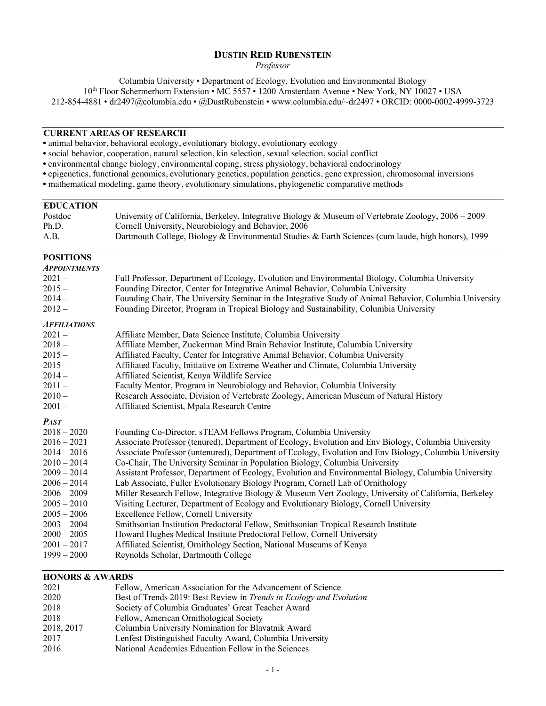# **DUSTIN REID RUBENSTEIN**

*Professor*

Columbia University • Department of Ecology, Evolution and Environmental Biology

10th Floor Schermerhorn Extension • MC 5557 • 1200 Amsterdam Avenue • New York, NY 10027 • USA

212-854-4881 • dr2497@columbia.edu • @DustRubenstein • www.columbia.edu/~dr2497 • ORCID: 0000-0002-4999-3723

## **CURRENT AREAS OF RESEARCH**

• animal behavior, behavioral ecology, evolutionary biology, evolutionary ecology

- social behavior, cooperation, natural selection, kin selection, sexual selection, social conflict
- environmental change biology, environmental coping, stress physiology, behavioral endocrinology
- epigenetics, functional genomics, evolutionary genetics, population genetics, gene expression, chromosomal inversions
- mathematical modeling, game theory, evolutionary simulations, phylogenetic comparative methods

#### **EDUCATION**

| Postdoc | University of California, Berkeley, Integrative Biology & Museum of Vertebrate Zoology, $2006 - 2009$ |
|---------|-------------------------------------------------------------------------------------------------------|
| Ph.D.   | Cornell University, Neurobiology and Behavior, 2006                                                   |
| A.B.    | Dartmouth College, Biology & Environmental Studies & Earth Sciences (cum laude, high honors), 1999    |

# **POSITIONS**

| Full Professor, Department of Ecology, Evolution and Environmental Biology, Columbia University<br>Founding Director, Center for Integrative Animal Behavior, Columbia University<br>Founding Chair, The University Seminar in the Integrative Study of Animal Behavior, Columbia University<br>Founding Director, Program in Tropical Biology and Sustainability, Columbia University<br>Affiliate Member, Data Science Institute, Columbia University<br>Affiliate Member, Zuckerman Mind Brain Behavior Institute, Columbia University<br>Affiliated Faculty, Center for Integrative Animal Behavior, Columbia University<br>Affiliated Faculty, Initiative on Extreme Weather and Climate, Columbia University<br>Affiliated Scientist, Kenya Wildlife Service<br>Faculty Mentor, Program in Neurobiology and Behavior, Columbia University<br>Research Associate, Division of Vertebrate Zoology, American Museum of Natural History<br>Affiliated Scientist, Mpala Research Centre<br>Founding Co-Director, sTEAM Fellows Program, Columbia University<br>Associate Professor (tenured), Department of Ecology, Evolution and Env Biology, Columbia University<br>Associate Professor (untenured), Department of Ecology, Evolution and Env Biology, Columbia University<br>Co-Chair, The University Seminar in Population Biology, Columbia University<br>Assistant Professor, Department of Ecology, Evolution and Environmental Biology, Columbia University<br>Lab Associate, Fuller Evolutionary Biology Program, Cornell Lab of Ornithology<br>Miller Research Fellow, Integrative Biology & Museum Vert Zoology, University of California, Berkeley<br>Visiting Lecturer, Department of Ecology and Evolutionary Biology, Cornell University<br>Excellence Fellow, Cornell University<br>Smithsonian Institution Predoctoral Fellow, Smithsonian Tropical Research Institute<br>Howard Hughes Medical Institute Predoctoral Fellow, Cornell University<br>Affiliated Scientist, Ornithology Section, National Museums of Kenya<br>Reynolds Scholar, Dartmouth College | <b>APPOINTMENTS</b> |  |
|------------------------------------------------------------------------------------------------------------------------------------------------------------------------------------------------------------------------------------------------------------------------------------------------------------------------------------------------------------------------------------------------------------------------------------------------------------------------------------------------------------------------------------------------------------------------------------------------------------------------------------------------------------------------------------------------------------------------------------------------------------------------------------------------------------------------------------------------------------------------------------------------------------------------------------------------------------------------------------------------------------------------------------------------------------------------------------------------------------------------------------------------------------------------------------------------------------------------------------------------------------------------------------------------------------------------------------------------------------------------------------------------------------------------------------------------------------------------------------------------------------------------------------------------------------------------------------------------------------------------------------------------------------------------------------------------------------------------------------------------------------------------------------------------------------------------------------------------------------------------------------------------------------------------------------------------------------------------------------------------------------------------------------------------------------------------------------|---------------------|--|
|                                                                                                                                                                                                                                                                                                                                                                                                                                                                                                                                                                                                                                                                                                                                                                                                                                                                                                                                                                                                                                                                                                                                                                                                                                                                                                                                                                                                                                                                                                                                                                                                                                                                                                                                                                                                                                                                                                                                                                                                                                                                                    | $2021 -$            |  |
|                                                                                                                                                                                                                                                                                                                                                                                                                                                                                                                                                                                                                                                                                                                                                                                                                                                                                                                                                                                                                                                                                                                                                                                                                                                                                                                                                                                                                                                                                                                                                                                                                                                                                                                                                                                                                                                                                                                                                                                                                                                                                    | $2015 -$            |  |
|                                                                                                                                                                                                                                                                                                                                                                                                                                                                                                                                                                                                                                                                                                                                                                                                                                                                                                                                                                                                                                                                                                                                                                                                                                                                                                                                                                                                                                                                                                                                                                                                                                                                                                                                                                                                                                                                                                                                                                                                                                                                                    | $2014-$             |  |
|                                                                                                                                                                                                                                                                                                                                                                                                                                                                                                                                                                                                                                                                                                                                                                                                                                                                                                                                                                                                                                                                                                                                                                                                                                                                                                                                                                                                                                                                                                                                                                                                                                                                                                                                                                                                                                                                                                                                                                                                                                                                                    | $2012 -$            |  |
|                                                                                                                                                                                                                                                                                                                                                                                                                                                                                                                                                                                                                                                                                                                                                                                                                                                                                                                                                                                                                                                                                                                                                                                                                                                                                                                                                                                                                                                                                                                                                                                                                                                                                                                                                                                                                                                                                                                                                                                                                                                                                    | <b>AFFILIATIONS</b> |  |
|                                                                                                                                                                                                                                                                                                                                                                                                                                                                                                                                                                                                                                                                                                                                                                                                                                                                                                                                                                                                                                                                                                                                                                                                                                                                                                                                                                                                                                                                                                                                                                                                                                                                                                                                                                                                                                                                                                                                                                                                                                                                                    | $2021 -$            |  |
|                                                                                                                                                                                                                                                                                                                                                                                                                                                                                                                                                                                                                                                                                                                                                                                                                                                                                                                                                                                                                                                                                                                                                                                                                                                                                                                                                                                                                                                                                                                                                                                                                                                                                                                                                                                                                                                                                                                                                                                                                                                                                    | $2018 -$            |  |
|                                                                                                                                                                                                                                                                                                                                                                                                                                                                                                                                                                                                                                                                                                                                                                                                                                                                                                                                                                                                                                                                                                                                                                                                                                                                                                                                                                                                                                                                                                                                                                                                                                                                                                                                                                                                                                                                                                                                                                                                                                                                                    | $2015 -$            |  |
|                                                                                                                                                                                                                                                                                                                                                                                                                                                                                                                                                                                                                                                                                                                                                                                                                                                                                                                                                                                                                                                                                                                                                                                                                                                                                                                                                                                                                                                                                                                                                                                                                                                                                                                                                                                                                                                                                                                                                                                                                                                                                    | $2015 -$            |  |
|                                                                                                                                                                                                                                                                                                                                                                                                                                                                                                                                                                                                                                                                                                                                                                                                                                                                                                                                                                                                                                                                                                                                                                                                                                                                                                                                                                                                                                                                                                                                                                                                                                                                                                                                                                                                                                                                                                                                                                                                                                                                                    | $2014-$             |  |
|                                                                                                                                                                                                                                                                                                                                                                                                                                                                                                                                                                                                                                                                                                                                                                                                                                                                                                                                                                                                                                                                                                                                                                                                                                                                                                                                                                                                                                                                                                                                                                                                                                                                                                                                                                                                                                                                                                                                                                                                                                                                                    | $2011 -$            |  |
|                                                                                                                                                                                                                                                                                                                                                                                                                                                                                                                                                                                                                                                                                                                                                                                                                                                                                                                                                                                                                                                                                                                                                                                                                                                                                                                                                                                                                                                                                                                                                                                                                                                                                                                                                                                                                                                                                                                                                                                                                                                                                    | $2010 -$            |  |
|                                                                                                                                                                                                                                                                                                                                                                                                                                                                                                                                                                                                                                                                                                                                                                                                                                                                                                                                                                                                                                                                                                                                                                                                                                                                                                                                                                                                                                                                                                                                                                                                                                                                                                                                                                                                                                                                                                                                                                                                                                                                                    | $2001 -$            |  |
|                                                                                                                                                                                                                                                                                                                                                                                                                                                                                                                                                                                                                                                                                                                                                                                                                                                                                                                                                                                                                                                                                                                                                                                                                                                                                                                                                                                                                                                                                                                                                                                                                                                                                                                                                                                                                                                                                                                                                                                                                                                                                    | <b>PAST</b>         |  |
|                                                                                                                                                                                                                                                                                                                                                                                                                                                                                                                                                                                                                                                                                                                                                                                                                                                                                                                                                                                                                                                                                                                                                                                                                                                                                                                                                                                                                                                                                                                                                                                                                                                                                                                                                                                                                                                                                                                                                                                                                                                                                    | $2018 - 2020$       |  |
|                                                                                                                                                                                                                                                                                                                                                                                                                                                                                                                                                                                                                                                                                                                                                                                                                                                                                                                                                                                                                                                                                                                                                                                                                                                                                                                                                                                                                                                                                                                                                                                                                                                                                                                                                                                                                                                                                                                                                                                                                                                                                    | $2016 - 2021$       |  |
|                                                                                                                                                                                                                                                                                                                                                                                                                                                                                                                                                                                                                                                                                                                                                                                                                                                                                                                                                                                                                                                                                                                                                                                                                                                                                                                                                                                                                                                                                                                                                                                                                                                                                                                                                                                                                                                                                                                                                                                                                                                                                    | $2014 - 2016$       |  |
|                                                                                                                                                                                                                                                                                                                                                                                                                                                                                                                                                                                                                                                                                                                                                                                                                                                                                                                                                                                                                                                                                                                                                                                                                                                                                                                                                                                                                                                                                                                                                                                                                                                                                                                                                                                                                                                                                                                                                                                                                                                                                    | $2010 - 2014$       |  |
|                                                                                                                                                                                                                                                                                                                                                                                                                                                                                                                                                                                                                                                                                                                                                                                                                                                                                                                                                                                                                                                                                                                                                                                                                                                                                                                                                                                                                                                                                                                                                                                                                                                                                                                                                                                                                                                                                                                                                                                                                                                                                    | $2009 - 2014$       |  |
|                                                                                                                                                                                                                                                                                                                                                                                                                                                                                                                                                                                                                                                                                                                                                                                                                                                                                                                                                                                                                                                                                                                                                                                                                                                                                                                                                                                                                                                                                                                                                                                                                                                                                                                                                                                                                                                                                                                                                                                                                                                                                    | $2006 - 2014$       |  |
|                                                                                                                                                                                                                                                                                                                                                                                                                                                                                                                                                                                                                                                                                                                                                                                                                                                                                                                                                                                                                                                                                                                                                                                                                                                                                                                                                                                                                                                                                                                                                                                                                                                                                                                                                                                                                                                                                                                                                                                                                                                                                    | $2006 - 2009$       |  |
|                                                                                                                                                                                                                                                                                                                                                                                                                                                                                                                                                                                                                                                                                                                                                                                                                                                                                                                                                                                                                                                                                                                                                                                                                                                                                                                                                                                                                                                                                                                                                                                                                                                                                                                                                                                                                                                                                                                                                                                                                                                                                    | $2005 - 2010$       |  |
|                                                                                                                                                                                                                                                                                                                                                                                                                                                                                                                                                                                                                                                                                                                                                                                                                                                                                                                                                                                                                                                                                                                                                                                                                                                                                                                                                                                                                                                                                                                                                                                                                                                                                                                                                                                                                                                                                                                                                                                                                                                                                    | $2005 - 2006$       |  |
|                                                                                                                                                                                                                                                                                                                                                                                                                                                                                                                                                                                                                                                                                                                                                                                                                                                                                                                                                                                                                                                                                                                                                                                                                                                                                                                                                                                                                                                                                                                                                                                                                                                                                                                                                                                                                                                                                                                                                                                                                                                                                    | $2003 - 2004$       |  |
|                                                                                                                                                                                                                                                                                                                                                                                                                                                                                                                                                                                                                                                                                                                                                                                                                                                                                                                                                                                                                                                                                                                                                                                                                                                                                                                                                                                                                                                                                                                                                                                                                                                                                                                                                                                                                                                                                                                                                                                                                                                                                    | $2000 - 2005$       |  |
|                                                                                                                                                                                                                                                                                                                                                                                                                                                                                                                                                                                                                                                                                                                                                                                                                                                                                                                                                                                                                                                                                                                                                                                                                                                                                                                                                                                                                                                                                                                                                                                                                                                                                                                                                                                                                                                                                                                                                                                                                                                                                    | $2001 - 2017$       |  |
|                                                                                                                                                                                                                                                                                                                                                                                                                                                                                                                                                                                                                                                                                                                                                                                                                                                                                                                                                                                                                                                                                                                                                                                                                                                                                                                                                                                                                                                                                                                                                                                                                                                                                                                                                                                                                                                                                                                                                                                                                                                                                    | $1999 - 2000$       |  |

# **HONORS & AWARDS**

| Fellow, American Association for the Advancement of Science         |
|---------------------------------------------------------------------|
| Best of Trends 2019: Best Review in Trends in Ecology and Evolution |
| Society of Columbia Graduates' Great Teacher Award                  |
| Fellow, American Ornithological Society                             |
| Columbia University Nomination for Blavatnik Award                  |
| Lenfest Distinguished Faculty Award, Columbia University            |
| National Academies Education Fellow in the Sciences                 |
|                                                                     |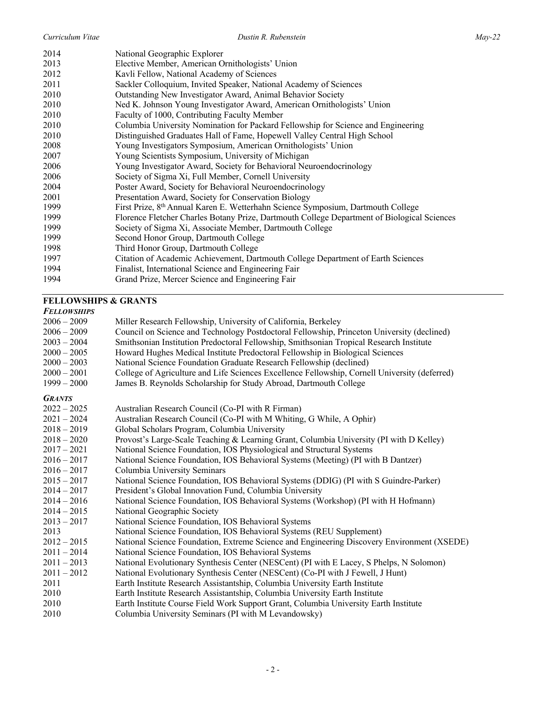| 2014 | National Geographic Explorer                                                                 |
|------|----------------------------------------------------------------------------------------------|
| 2013 | Elective Member, American Ornithologists' Union                                              |
| 2012 | Kavli Fellow, National Academy of Sciences                                                   |
| 2011 | Sackler Colloquium, Invited Speaker, National Academy of Sciences                            |
| 2010 | Outstanding New Investigator Award, Animal Behavior Society                                  |
| 2010 | Ned K. Johnson Young Investigator Award, American Ornithologists' Union                      |
| 2010 | Faculty of 1000, Contributing Faculty Member                                                 |
| 2010 | Columbia University Nomination for Packard Fellowship for Science and Engineering            |
| 2010 | Distinguished Graduates Hall of Fame, Hopewell Valley Central High School                    |
| 2008 | Young Investigators Symposium, American Ornithologists' Union                                |
| 2007 | Young Scientists Symposium, University of Michigan                                           |
| 2006 | Young Investigator Award, Society for Behavioral Neuroendocrinology                          |
| 2006 | Society of Sigma Xi, Full Member, Cornell University                                         |
| 2004 | Poster Award, Society for Behavioral Neuroendocrinology                                      |
| 2001 | Presentation Award, Society for Conservation Biology                                         |
| 1999 | First Prize, 8 <sup>th</sup> Annual Karen E. Wetterhahn Science Symposium, Dartmouth College |
| 1999 | Florence Fletcher Charles Botany Prize, Dartmouth College Department of Biological Sciences  |
| 1999 | Society of Sigma Xi, Associate Member, Dartmouth College                                     |
| 1999 | Second Honor Group, Dartmouth College                                                        |
| 1998 | Third Honor Group, Dartmouth College                                                         |
| 1997 | Citation of Academic Achievement, Dartmouth College Department of Earth Sciences             |
| 1994 | Finalist, International Science and Engineering Fair                                         |
| 1994 | Grand Prize, Mercer Science and Engineering Fair                                             |
|      |                                                                                              |

# **FELLOWSHIPS & GRANTS**

#### *FELLOWSHIPS*

| $2006 - 2009$                                                                                                                                                                                                                                                                                                         | Miller Research Fellowship, University of California, Berkeley                                                                                                                                                                                                                                                                                                                                                                                                                                                                                                                                                                                                                                                                                                                                                                                                                                                                                                                                                                                                                                                                                                                                                                                                                                                                                                             |
|-----------------------------------------------------------------------------------------------------------------------------------------------------------------------------------------------------------------------------------------------------------------------------------------------------------------------|----------------------------------------------------------------------------------------------------------------------------------------------------------------------------------------------------------------------------------------------------------------------------------------------------------------------------------------------------------------------------------------------------------------------------------------------------------------------------------------------------------------------------------------------------------------------------------------------------------------------------------------------------------------------------------------------------------------------------------------------------------------------------------------------------------------------------------------------------------------------------------------------------------------------------------------------------------------------------------------------------------------------------------------------------------------------------------------------------------------------------------------------------------------------------------------------------------------------------------------------------------------------------------------------------------------------------------------------------------------------------|
| $2006 - 2009$                                                                                                                                                                                                                                                                                                         | Council on Science and Technology Postdoctoral Fellowship, Princeton University (declined)                                                                                                                                                                                                                                                                                                                                                                                                                                                                                                                                                                                                                                                                                                                                                                                                                                                                                                                                                                                                                                                                                                                                                                                                                                                                                 |
| $2003 - 2004$                                                                                                                                                                                                                                                                                                         | Smithsonian Institution Predoctoral Fellowship, Smithsonian Tropical Research Institute                                                                                                                                                                                                                                                                                                                                                                                                                                                                                                                                                                                                                                                                                                                                                                                                                                                                                                                                                                                                                                                                                                                                                                                                                                                                                    |
| $2000 - 2005$                                                                                                                                                                                                                                                                                                         | Howard Hughes Medical Institute Predoctoral Fellowship in Biological Sciences                                                                                                                                                                                                                                                                                                                                                                                                                                                                                                                                                                                                                                                                                                                                                                                                                                                                                                                                                                                                                                                                                                                                                                                                                                                                                              |
| $2000 - 2003$                                                                                                                                                                                                                                                                                                         | National Science Foundation Graduate Research Fellowship (declined)                                                                                                                                                                                                                                                                                                                                                                                                                                                                                                                                                                                                                                                                                                                                                                                                                                                                                                                                                                                                                                                                                                                                                                                                                                                                                                        |
| $2000 - 2001$                                                                                                                                                                                                                                                                                                         | College of Agriculture and Life Sciences Excellence Fellowship, Cornell University (deferred)                                                                                                                                                                                                                                                                                                                                                                                                                                                                                                                                                                                                                                                                                                                                                                                                                                                                                                                                                                                                                                                                                                                                                                                                                                                                              |
| $1999 - 2000$                                                                                                                                                                                                                                                                                                         | James B. Reynolds Scholarship for Study Abroad, Dartmouth College                                                                                                                                                                                                                                                                                                                                                                                                                                                                                                                                                                                                                                                                                                                                                                                                                                                                                                                                                                                                                                                                                                                                                                                                                                                                                                          |
| <b>GRANTS</b><br>$2022 - 2025$<br>$2021 - 2024$<br>$2018 - 2019$<br>$2018 - 2020$<br>$2017 - 2021$<br>$2016 - 2017$<br>$2016 - 2017$<br>$2015 - 2017$<br>$2014 - 2017$<br>$2014 - 2016$<br>$2014 - 2015$<br>$2013 - 2017$<br>2013<br>$2012 - 2015$<br>$2011 - 2014$<br>$2011 - 2013$<br>$2011 - 2012$<br>2011<br>2010 | Australian Research Council (Co-PI with R Firman)<br>Australian Research Council (Co-PI with M Whiting, G While, A Ophir)<br>Global Scholars Program, Columbia University<br>Provost's Large-Scale Teaching & Learning Grant, Columbia University (PI with D Kelley)<br>National Science Foundation, IOS Physiological and Structural Systems<br>National Science Foundation, IOS Behavioral Systems (Meeting) (PI with B Dantzer)<br>Columbia University Seminars<br>National Science Foundation, IOS Behavioral Systems (DDIG) (PI with S Guindre-Parker)<br>President's Global Innovation Fund, Columbia University<br>National Science Foundation, IOS Behavioral Systems (Workshop) (PI with H Hofmann)<br>National Geographic Society<br>National Science Foundation, IOS Behavioral Systems<br>National Science Foundation, IOS Behavioral Systems (REU Supplement)<br>National Science Foundation, Extreme Science and Engineering Discovery Environment (XSEDE)<br>National Science Foundation, IOS Behavioral Systems<br>National Evolutionary Synthesis Center (NESCent) (PI with E Lacey, S Phelps, N Solomon)<br>National Evolutionary Synthesis Center (NESCent) (Co-PI with J Fewell, J Hunt)<br>Earth Institute Research Assistantship, Columbia University Earth Institute<br>Earth Institute Research Assistantship, Columbia University Earth Institute |
| 2010                                                                                                                                                                                                                                                                                                                  | Earth Institute Course Field Work Support Grant, Columbia University Earth Institute                                                                                                                                                                                                                                                                                                                                                                                                                                                                                                                                                                                                                                                                                                                                                                                                                                                                                                                                                                                                                                                                                                                                                                                                                                                                                       |
| 2010                                                                                                                                                                                                                                                                                                                  | Columbia University Seminars (PI with M Levandowsky)                                                                                                                                                                                                                                                                                                                                                                                                                                                                                                                                                                                                                                                                                                                                                                                                                                                                                                                                                                                                                                                                                                                                                                                                                                                                                                                       |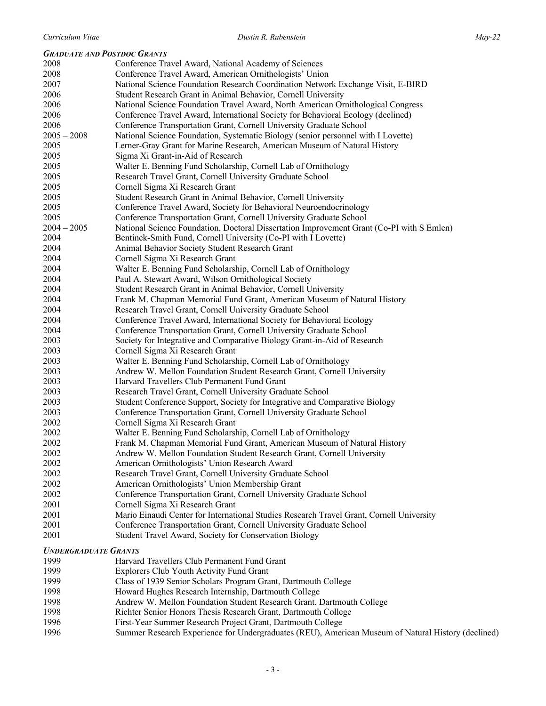# *GRADUATE AND POSTDOC GRANTS*

|               |                             | <b>GRADUATE AND POSTDOC GRANTS</b>                                                                         |
|---------------|-----------------------------|------------------------------------------------------------------------------------------------------------|
| 2008          |                             | Conference Travel Award, National Academy of Sciences                                                      |
| 2008          |                             | Conference Travel Award, American Ornithologists' Union                                                    |
| 2007          |                             | National Science Foundation Research Coordination Network Exchange Visit, E-BIRD                           |
| 2006          |                             | Student Research Grant in Animal Behavior, Cornell University                                              |
| 2006          |                             | National Science Foundation Travel Award, North American Ornithological Congress                           |
| 2006          |                             | Conference Travel Award, International Society for Behavioral Ecology (declined)                           |
| 2006          |                             | Conference Transportation Grant, Cornell University Graduate School                                        |
| $2005 - 2008$ |                             | National Science Foundation, Systematic Biology (senior personnel with I Lovette)                          |
| 2005          |                             | Lerner-Gray Grant for Marine Research, American Museum of Natural History                                  |
| 2005          |                             | Sigma Xi Grant-in-Aid of Research                                                                          |
| 2005          |                             | Walter E. Benning Fund Scholarship, Cornell Lab of Ornithology                                             |
| 2005          |                             | Research Travel Grant, Cornell University Graduate School                                                  |
| 2005          |                             | Cornell Sigma Xi Research Grant                                                                            |
| 2005          |                             | Student Research Grant in Animal Behavior, Cornell University                                              |
| 2005          |                             | Conference Travel Award, Society for Behavioral Neuroendocrinology                                         |
| 2005          |                             | Conference Transportation Grant, Cornell University Graduate School                                        |
| $2004 - 2005$ |                             | National Science Foundation, Doctoral Dissertation Improvement Grant (Co-PI with S Emlen)                  |
| 2004          |                             | Bentinck-Smith Fund, Cornell University (Co-PI with I Lovette)                                             |
| 2004          |                             | Animal Behavior Society Student Research Grant                                                             |
| 2004          |                             | Cornell Sigma Xi Research Grant                                                                            |
| 2004          |                             | Walter E. Benning Fund Scholarship, Cornell Lab of Ornithology                                             |
| 2004          |                             | Paul A. Stewart Award, Wilson Ornithological Society                                                       |
| 2004          |                             | Student Research Grant in Animal Behavior, Cornell University                                              |
| 2004          |                             | Frank M. Chapman Memorial Fund Grant, American Museum of Natural History                                   |
| 2004          |                             | Research Travel Grant, Cornell University Graduate School                                                  |
| 2004          |                             | Conference Travel Award, International Society for Behavioral Ecology                                      |
| 2004          |                             | Conference Transportation Grant, Cornell University Graduate School                                        |
| 2003          |                             | Society for Integrative and Comparative Biology Grant-in-Aid of Research                                   |
| 2003          |                             | Cornell Sigma Xi Research Grant                                                                            |
| 2003          |                             | Walter E. Benning Fund Scholarship, Cornell Lab of Ornithology                                             |
| 2003          |                             | Andrew W. Mellon Foundation Student Research Grant, Cornell University                                     |
| 2003          |                             | Harvard Travellers Club Permanent Fund Grant                                                               |
| 2003          |                             | Research Travel Grant, Cornell University Graduate School                                                  |
| 2003          |                             | Student Conference Support, Society for Integrative and Comparative Biology                                |
| 2003          |                             | Conference Transportation Grant, Cornell University Graduate School                                        |
| 2002          |                             | Cornell Sigma Xi Research Grant                                                                            |
| 2002          |                             | Walter E. Benning Fund Scholarship, Cornell Lab of Ornithology                                             |
| 2002          |                             | Frank M. Chapman Memorial Fund Grant, American Museum of Natural History                                   |
| 2002<br>2002  |                             | Andrew W. Mellon Foundation Student Research Grant, Cornell University                                     |
| 2002          |                             | American Ornithologists' Union Research Award<br>Research Travel Grant, Cornell University Graduate School |
| 2002          |                             | American Ornithologists' Union Membership Grant                                                            |
| 2002          |                             | Conference Transportation Grant, Cornell University Graduate School                                        |
| 2001          |                             | Cornell Sigma Xi Research Grant                                                                            |
| 2001          |                             | Mario Einaudi Center for International Studies Research Travel Grant, Cornell University                   |
| 2001          |                             | Conference Transportation Grant, Cornell University Graduate School                                        |
| 2001          |                             | Student Travel Award, Society for Conservation Biology                                                     |
|               |                             |                                                                                                            |
|               | <b>UNDERGRADUATE GRANTS</b> |                                                                                                            |
| 1999          |                             | Harvard Travellers Club Permanent Fund Grant                                                               |
| 1999          |                             | Explorers Club Youth Activity Fund Grant                                                                   |
| 1999          |                             | Class of 1939 Senior Scholars Program Grant, Dartmouth College                                             |
| 1998          |                             | Howard Hughes Research Internship, Dartmouth College                                                       |
| 1998          |                             | Andrew W. Mellon Foundation Student Research Grant, Dartmouth College                                      |
| 1998          |                             | Richter Senior Honors Thesis Research Grant, Dartmouth College                                             |
| 1996          |                             | First-Year Summer Research Project Grant, Dartmouth College                                                |

Summer Research Experience for Undergraduates (REU), American Museum of Natural History (declined)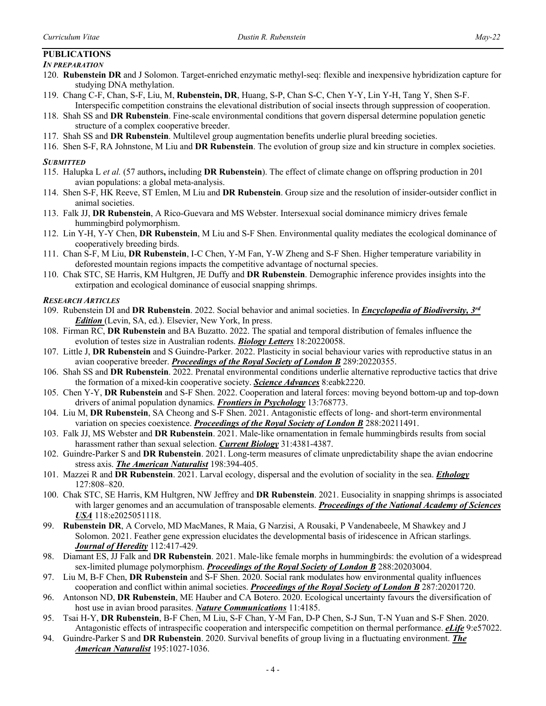# **PUBLICATIONS**

# *IN PREPARATION*

- 120. **Rubenstein DR** and J Solomon. Target-enriched enzymatic methyl-seq: flexible and inexpensive hybridization capture for studying DNA methylation.
- 119. Chang C-F, Chan, S-F, Liu, M, **Rubenstein, DR**, Huang, S-P, Chan S-C, Chen Y-Y, Lin Y-H, Tang Y, Shen S-F. Interspecific competition constrains the elevational distribution of social insects through suppression of cooperation.
- 118. Shah SS and **DR Rubenstein**. Fine-scale environmental conditions that govern dispersal determine population genetic structure of a complex cooperative breeder.
- 117. Shah SS and **DR Rubenstein**. Multilevel group augmentation benefits underlie plural breeding societies.
- 116. Shen S-F, RA Johnstone, M Liu and **DR Rubenstein**. The evolution of group size and kin structure in complex societies.

## *SUBMITTED*

- 115. Halupka L *et al.* (57 authors**,** including **DR Rubenstein**). The effect of climate change on offspring production in 201 avian populations: a global meta-analysis.
- 114. Shen S-F, HK Reeve, ST Emlen, M Liu and **DR Rubenstein**. Group size and the resolution of insider-outsider conflict in animal societies.
- 113. Falk JJ, **DR Rubenstein**, A Rico-Guevara and MS Webster. Intersexual social dominance mimicry drives female hummingbird polymorphism.
- 112. Lin Y-H, Y-Y Chen, **DR Rubenstein**, M Liu and S-F Shen. Environmental quality mediates the ecological dominance of cooperatively breeding birds.
- 111. Chan S-F, M Liu, **DR Rubenstein**, I-C Chen, Y-M Fan, Y-W Zheng and S-F Shen. Higher temperature variability in deforested mountain regions impacts the competitive advantage of nocturnal species.
- 110. Chak STC, SE Harris, KM Hultgren, JE Duffy and **DR Rubenstein**. Demographic inference provides insights into the extirpation and ecological dominance of eusocial snapping shrimps.

## *RESEARCH ARTICLES*

- 109. Rubenstein DI and **DR Rubenstein**. 2022. Social behavior and animal societies. In *Encyclopedia of Biodiversity, 3rd Edition* (Levin, SA, ed.). Elsevier, New York, In press.
- 108. Firman RC, **DR Rubenstein** and BA Buzatto. 2022. The spatial and temporal distribution of females influence the evolution of testes size in Australian rodents. *Biology Letters* 18:20220058.
- 107. Little J, **DR Rubenstein** and S Guindre-Parker. 2022. Plasticity in social behaviour varies with reproductive status in an avian cooperative breeder. *Proceedings of the Royal Society of London B* 289:20220355.
- 106. Shah SS and **DR Rubenstein**. 2022. Prenatal environmental conditions underlie alternative reproductive tactics that drive the formation of a mixed-kin cooperative society. *Science Advances* 8:eabk2220.
- 105. Chen Y-Y, **DR Rubenstein** and S-F Shen. 2022. Cooperation and lateral forces: moving beyond bottom-up and top-down drivers of animal population dynamics. *Frontiers in Psychology* 13:768773.
- 104. Liu M, **DR Rubenstein**, SA Cheong and S-F Shen. 2021. Antagonistic effects of long- and short-term environmental variation on species coexistence. *Proceedings of the Royal Society of London B* 288:20211491.
- 103. Falk JJ, MS Webster and **DR Rubenstein**. 2021. Male-like ornamentation in female hummingbirds results from social harassment rather than sexual selection. *Current Biology* 31:4381-4387.
- 102. Guindre-Parker S and **DR Rubenstein**. 2021. Long-term measures of climate unpredictability shape the avian endocrine stress axis. *The American Naturalist* 198:394-405.
- 101. Mazzei R and **DR Rubenstein**. 2021. Larval ecology, dispersal and the evolution of sociality in the sea. *Ethology* 127:808–820.
- 100. Chak STC, SE Harris, KM Hultgren, NW Jeffrey and **DR Rubenstein**. 2021. Eusociality in snapping shrimps is associated with larger genomes and an accumulation of transposable elements. *Proceedings of the National Academy of Sciences USA* 118:e2025051118.
- 99. **Rubenstein DR**, A Corvelo, MD MacManes, R Maia, G Narzisi, A Rousaki, P Vandenabeele, M Shawkey and J Solomon. 2021. Feather gene expression elucidates the developmental basis of iridescence in African starlings. *Journal of Heredity* 112:417-429.
- 98. Diamant ES, JJ Falk and **DR Rubenstein**. 2021. Male-like female morphs in hummingbirds: the evolution of a widespread sex-limited plumage polymorphism. *Proceedings of the Royal Society of London B* 288:20203004.
- 97. Liu M, B-F Chen, **DR Rubenstein** and S-F Shen. 2020. Social rank modulates how environmental quality influences cooperation and conflict within animal societies. *Proceedings of the Royal Society of London B* 287:20201720.
- 96. Antonson ND, **DR Rubenstein**, ME Hauber and CA Botero. 2020. Ecological uncertainty favours the diversification of host use in avian brood parasites. *Nature Communications* 11:4185.
- 95. Tsai H-Y, **DR Rubenstein**, B-F Chen, M Liu, S-F Chan, Y-M Fan, D-P Chen, S-J Sun, T-N Yuan and S-F Shen. 2020. Antagonistic effects of intraspecific cooperation and interspecific competition on thermal performance. *eLife* 9:e57022.
- 94. Guindre-Parker S and **DR Rubenstein**. 2020. Survival benefits of group living in a fluctuating environment. *The American Naturalist* 195:1027-1036.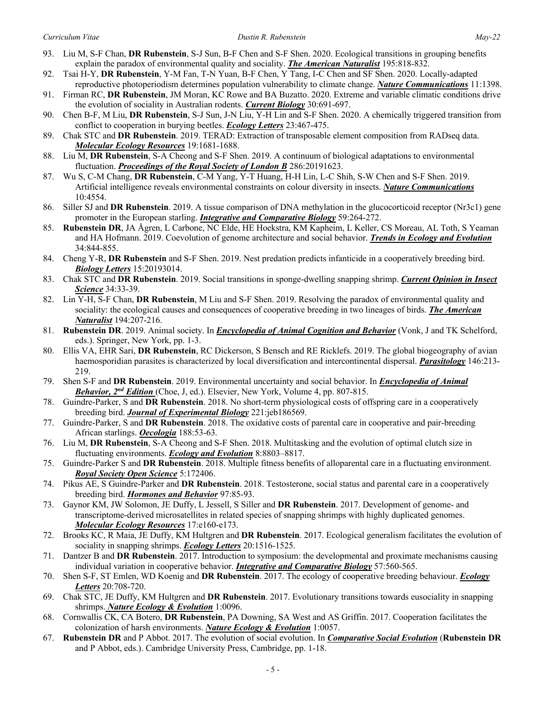- 93. Liu M, S-F Chan, **DR Rubenstein**, S-J Sun, B-F Chen and S-F Shen. 2020. Ecological transitions in grouping benefits explain the paradox of environmental quality and sociality. *The American Naturalist* 195:818-832.
- 92. Tsai H-Y, **DR Rubenstein**, Y-M Fan, T-N Yuan, B-F Chen, Y Tang, I-C Chen and SF Shen. 2020. Locally-adapted reproductive photoperiodism determines population vulnerability to climate change. *Nature Communications* 11:1398.
- 91. Firman RC, **DR Rubenstein**, JM Moran, KC Rowe and BA Buzatto. 2020. Extreme and variable climatic conditions drive the evolution of sociality in Australian rodents. *Current Biology* 30:691-697.
- 90. Chen B-F, M Liu, **DR Rubenstein**, S-J Sun, J-N Liu, Y-H Lin and S-F Shen. 2020. A chemically triggered transition from conflict to cooperation in burying beetles. *Ecology Letters* 23:467-475.
- 89. Chak STC and **DR Rubenstein**. 2019. TERAD: Extraction of transposable element composition from RADseq data. *Molecular Ecology Resources* 19:1681-1688.
- 88. Liu M, **DR Rubenstein**, S-A Cheong and S-F Shen. 2019. A continuum of biological adaptations to environmental fluctuation. *Proceedings of the Royal Society of London B* 286:20191623.
- 87. Wu S, C-M Chang, **DR Rubenstein**, C-M Yang, Y-T Huang, H-H Lin, L-C Shih, S-W Chen and S-F Shen. 2019. Artificial intelligence reveals environmental constraints on colour diversity in insects. *Nature Communications* 10:4554.
- 86. Siller SJ and **DR Rubenstein**. 2019. A tissue comparison of DNA methylation in the glucocorticoid receptor (Nr3c1) gene promoter in the European starling. *Integrative and Comparative Biology* 59:264-272.
- 85. **Rubenstein DR**, JA Ågren, L Carbone, NC Elde, HE Hoekstra, KM Kapheim, L Keller, CS Moreau, AL Toth, S Yeaman and HA Hofmann. 2019. Coevolution of genome architecture and social behavior. *Trends in Ecology and Evolution* 34:844-855.
- 84. Cheng Y-R, **DR Rubenstein** and S-F Shen. 2019. Nest predation predicts infanticide in a cooperatively breeding bird. *Biology Letters* 15:20193014.
- 83. Chak STC and **DR Rubenstein**. 2019. Social transitions in sponge-dwelling snapping shrimp. *Current Opinion in Insect Science* 34:33-39.
- 82. Lin Y-H, S-F Chan, **DR Rubenstein**, M Liu and S-F Shen. 2019. Resolving the paradox of environmental quality and sociality: the ecological causes and consequences of cooperative breeding in two lineages of birds. *The American Naturalist* 194:207-216.
- 81. **Rubenstein DR**. 2019. Animal society. In *Encyclopedia of Animal Cognition and Behavior* (Vonk, J and TK Schelford, eds.). Springer, New York, pp. 1-3.
- 80. Ellis VA, EHR Sari, **DR Rubenstein**, RC Dickerson, S Bensch and RE Ricklefs. 2019. The global biogeography of avian haemosporidian parasites is characterized by local diversification and intercontinental dispersal. *Parasitology* 146:213- 219.
- 79. Shen S-F and **DR Rubenstein**. 2019. Environmental uncertainty and social behavior. In *Encyclopedia of Animal Behavior, 2nd Edition* (Choe, J, ed.). Elsevier, New York, Volume 4, pp. 807-815.
- 78. Guindre-Parker, S and **DR Rubenstein**. 2018. No short-term physiological costs of offspring care in a cooperatively breeding bird. *Journal of Experimental Biology* 221:jeb186569.
- 77. Guindre-Parker, S and **DR Rubenstein**. 2018. The oxidative costs of parental care in cooperative and pair-breeding African starlings. *Oecologia* 188:53-63.
- 76. Liu M, **DR Rubenstein**, S-A Cheong and S-F Shen. 2018. Multitasking and the evolution of optimal clutch size in fluctuating environments. *Ecology and Evolution* 8:8803–8817.
- 75. Guindre-Parker S and **DR Rubenstein**. 2018. Multiple fitness benefits of alloparental care in a fluctuating environment. *Royal Society Open Science* 5:172406.
- 74. Pikus AE, S Guindre-Parker and **DR Rubenstein**. 2018. Testosterone, social status and parental care in a cooperatively breeding bird. *Hormones and Behavior* 97:85-93.
- 73. Gaynor KM, JW Solomon, JE Duffy, L Jessell, S Siller and **DR Rubenstein**. 2017. Development of genome- and transcriptome-derived microsatellites in related species of snapping shrimps with highly duplicated genomes. *Molecular Ecology Resources* 17:e160-e173.
- 72. Brooks KC, R Maia, JE Duffy, KM Hultgren and **DR Rubenstein**. 2017. Ecological generalism facilitates the evolution of sociality in snapping shrimps. *Ecology Letters* 20:1516-1525.
- 71. Dantzer B and **DR Rubenstein**. 2017. Introduction to symposium: the developmental and proximate mechanisms causing individual variation in cooperative behavior. *Integrative and Comparative Biology* 57:560-565.
- 70. Shen S-F, ST Emlen, WD Koenig and **DR Rubenstein**. 2017. The ecology of cooperative breeding behaviour. *Ecology Letters* 20:708-720.
- 69. Chak STC, JE Duffy, KM Hultgren and **DR Rubenstein**. 2017. Evolutionary transitions towards eusociality in snapping shrimps. *Nature Ecology & Evolution* 1:0096.
- 68. Cornwallis CK, CA Botero, **DR Rubenstein**, PA Downing, SA West and AS Griffin. 2017. Cooperation facilitates the colonization of harsh environments. *Nature Ecology & Evolution* 1:0057.
- 67. **Rubenstein DR** and P Abbot. 2017. The evolution of social evolution. In *Comparative Social Evolution* (**Rubenstein DR** and P Abbot, eds.). Cambridge University Press, Cambridge, pp. 1-18.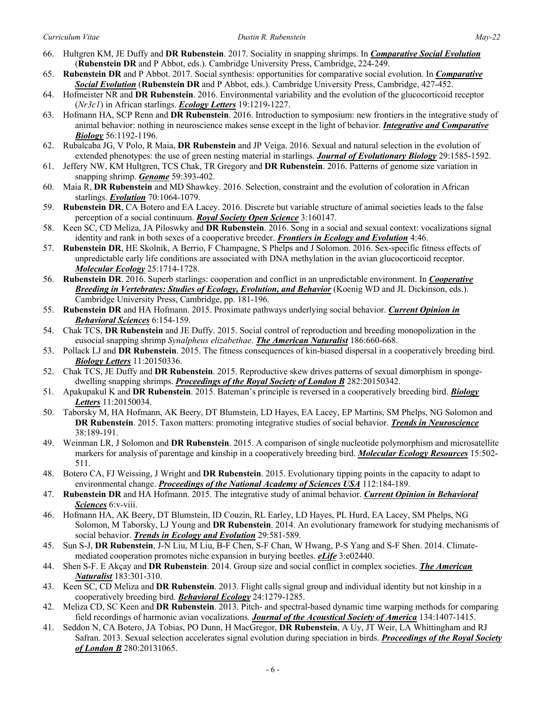- 66. Hultgren KM, JE Duffy and **DR Rubenstein**. 2017. Sociality in snapping shrimps. In *Comparative Social Evolution* (**Rubenstein DR** and P Abbot, eds.). Cambridge University Press, Cambridge, 224-249.
- 65. **Rubenstein DR** and P Abbot. 2017. Social synthesis: opportunities for comparative social evolution. In *Comparative Social Evolution* (**Rubenstein DR** and P Abbot, eds.). Cambridge University Press, Cambridge, 427-452.
- 64. Hofmeister NR and **DR Rubenstein**. 2016. Environmental variability and the evolution of the glucocorticoid receptor (*Nr3c1*) in African starlings. *Ecology Letters* 19:1219-1227.
- 63. Hofmann HA, SCP Renn and **DR Rubenstein**. 2016. Introduction to symposium: new frontiers in the integrative study of animal behavior: nothing in neuroscience makes sense except in the light of behavior. *Integrative and Comparative Biology* 56:1192-1196.
- 62. Rubalcaba JG, V Polo, R Maia, **DR Rubenstein** and JP Veiga. 2016. Sexual and natural selection in the evolution of extended phenotypes: the use of green nesting material in starlings. *Journal of Evolutionary Biology* 29:1585-1592.
- 61. Jeffery NW, KM Hultgren, TCS Chak, TR Gregory and **DR Rubenstein**. 2016. Patterns of genome size variation in snapping shrimp. *Genome* 59:393-402.
- 60. Maia R, **DR Rubenstein** and MD Shawkey. 2016. Selection, constraint and the evolution of coloration in African starlings. *Evolution* 70:1064-1079.
- 59. **Rubenstein DR**, CA Botero and EA Lacey. 2016. Discrete but variable structure of animal societies leads to the false perception of a social continuum. *Royal Society Open Science* 3:160147.
- 58. Keen SC, CD Meliza, JA Piloswky and **DR Rubenstein**. 2016. Song in a social and sexual context: vocalizations signal identity and rank in both sexes of a cooperative breeder. *Frontiers in Ecology and Evolution* 4:46.
- 57. **Rubenstein DR**, HE Skolnik, A Berrio, F Champagne, S Phelps and J Solomon. 2016. Sex-specific fitness effects of unpredictable early life conditions are associated with DNA methylation in the avian glucocorticoid receptor. *Molecular Ecology* 25:1714-1728.
- 56. **Rubenstein DR**. 2016. Superb starlings: cooperation and conflict in an unpredictable environment. In *Cooperative Breeding in Vertebrates: Studies of Ecology, Evolution, and Behavior* (Koenig WD and JL Dickinson, eds.). Cambridge University Press, Cambridge, pp. 181-196.
- 55. **Rubenstein DR** and HA Hofmann. 2015. Proximate pathways underlying social behavior. *Current Opinion in Behavioral Sciences* 6:154-159.
- 54. Chak TCS, **DR Rubenstein** and JE Duffy. 2015. Social control of reproduction and breeding monopolization in the eusocial snapping shrimp *Synalpheus elizabethae*. *The American Naturalist* 186:660-668.
- 53. Pollack LJ and **DR Rubenstein**. 2015. The fitness consequences of kin-biased dispersal in a cooperatively breeding bird. *Biology Letters* 11:20150336.
- 52. Chak TCS, JE Duffy and **DR Rubenstein**. 2015. Reproductive skew drives patterns of sexual dimorphism in spongedwelling snapping shrimps. *Proceedings of the Royal Society of London B* 282:20150342.
- 51. Apakupakul K and **DR Rubenstein**. 2015. Bateman's principle is reversed in a cooperatively breeding bird. *Biology Letters* 11:20150034.
- 50. Taborsky M, HA Hofmann, AK Beery, DT Blumstein, LD Hayes, EA Lacey, EP Martins, SM Phelps, NG Solomon and **DR Rubenstein**. 2015. Taxon matters: promoting integrative studies of social behavior. *Trends in Neuroscience* 38:189-191.
- 49. Weinman LR, J Solomon and **DR Rubenstein**. 2015. A comparison of single nucleotide polymorphism and microsatellite markers for analysis of parentage and kinship in a cooperatively breeding bird. *Molecular Ecology Resources* 15:502- 511.
- 48. Botero CA, FJ Weissing, J Wright and **DR Rubenstein**. 2015. Evolutionary tipping points in the capacity to adapt to environmental change. *Proceedings of the National Academy of Sciences USA* 112:184-189.
- 47. **Rubenstein DR** and HA Hofmann. 2015. The integrative study of animal behavior. *Current Opinion in Behavioral Sciences* 6:v-viii.
- 46. Hofmann HA, AK Beery, DT Blumstein, ID Couzin, RL Earley, LD Hayes, PL Hurd, EA Lacey, SM Phelps, NG Solomon, M Taborsky, LJ Young and **DR Rubenstein**. 2014. An evolutionary framework for studying mechanisms of social behavior. *Trends in Ecology and Evolution* 29:581-589.
- 45. Sun S-J, **DR Rubenstein**, J-N Liu, M Liu, B-F Chen, S-F Chan, W Hwang, P-S Yang and S-F Shen. 2014. Climatemediated cooperation promotes niche expansion in burying beetles. *eLife* 3:e02440.
- 44. Shen S-F. E Akçay and **DR Rubenstein**. 2014. Group size and social conflict in complex societies. *The American Naturalist* 183:301-310.
- 43. Keen SC, CD Meliza and **DR Rubenstein**. 2013. Flight calls signal group and individual identity but not kinship in a cooperatively breeding bird. *Behavioral Ecology* 24:1279-1285.
- 42. Meliza CD, SC Keen and **DR Rubenstein**. 2013. Pitch- and spectral-based dynamic time warping methods for comparing field recordings of harmonic avian vocalizations. *Journal of the Acoustical Society of America* 134:1407-1415.
- 41. Seddon N, CA Botero, JA Tobias, PO Dunn, H MacGregor, **DR Rubenstein**, A Uy, JT Weir, LA Whittingham and RJ Safran. 2013. Sexual selection accelerates signal evolution during speciation in birds. *Proceedings of the Royal Society of London B* 280:20131065.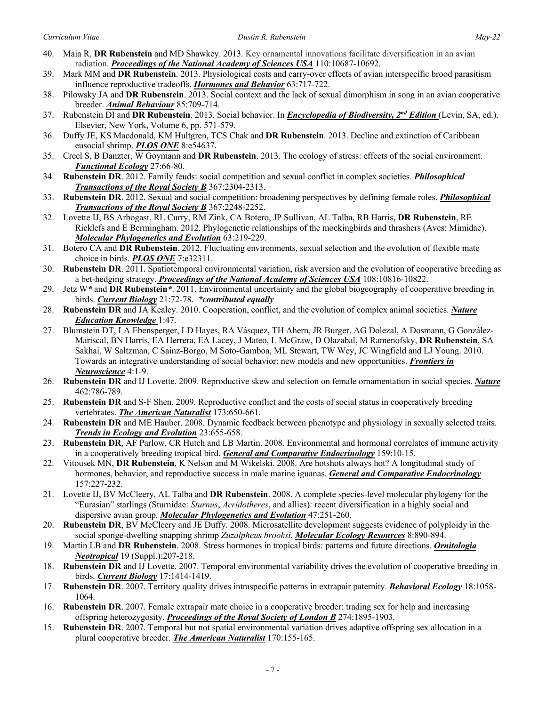- 40. Maia R, **DR Rubenstein** and MD Shawkey. 2013. Key ornamental innovations facilitate diversification in an avian radiation. *Proceedings of the National Academy of Sciences USA* 110:10687-10692.
- 39. Mark MM and **DR Rubenstein**. 2013. Physiological costs and carry-over effects of avian interspecific brood parasitism influence reproductive tradeoffs. *Hormones and Behavior* 63:717-722.
- 38. Pilowsky JA and **DR Rubenstein**. 2013. Social context and the lack of sexual dimorphism in song in an avian cooperative breeder. *Animal Behaviour* 85:709-714.
- 37. Rubenstein DI and **DR Rubenstein**. 2013. Social behavior. In *Encyclopedia of Biodiversity, 2nd Edition* (Levin, SA, ed.). Elsevier, New York, Volume 6, pp. 571-579.
- 36. Duffy JE, KS Macdonald, KM Hultgren, TCS Chak and **DR Rubenstein**. 2013. Decline and extinction of Caribbean eusocial shrimp. *PLOS ONE* 8:e54637.
- 35. Creel S, B Danzter, W Goymann and **DR Rubenstein**. 2013. The ecology of stress: effects of the social environment. *Functional Ecology* 27:66-80.
- 34. **Rubenstein DR**. 2012. Family feuds: social competition and sexual conflict in complex societies. *Philosophical Transactions of the Royal Society B* 367:2304-2313.
- 33. **Rubenstein DR**. 2012. Sexual and social competition: broadening perspectives by defining female roles. *Philosophical Transactions of the Royal Society B* 367:2248-2252.
- 32. Lovette IJ, BS Arbogast, RL Curry, RM Zink, CA Botero, JP Sullivan, AL Talba, RB Harris, **DR Rubenstein**, RE Ricklefs and E Bermingham. 2012. Phylogenetic relationships of the mockingbirds and thrashers (Aves: Mimidae). *Molecular Phylogenetics and Evolution* 63:219-229.
- 31. Botero CA and **DR Rubenstein**. 2012. Fluctuating environments, sexual selection and the evolution of flexible mate choice in birds. *PLOS ONE* 7:e32311.
- 30. **Rubenstein DR**. 2011. Spatiotemporal environmental variation, risk aversion and the evolution of cooperative breeding as a bet-hedging strategy. *Proceedings of the National Academy of Sciences USA* 108:10816-10822.
- 29. Jetz W*\** and **DR Rubenstein***\**. 2011. Environmental uncertainty and the global biogeography of cooperative breeding in birds. *Current Biology* 21:72-78. *\*contributed equally*
- 28. **Rubenstein DR** and JA Kealey. 2010. Cooperation, conflict, and the evolution of complex animal societies. *Nature Education Knowledge* 1:47.
- 27. Blumstein DT, LA Ebensperger, LD Hayes, RA Vásquez, TH Ahern, JR Burger, AG Dolezal, A Dosmann, G González-Mariscal, BN Harris, EA Herrera, EA Lacey, J Mateo, L McGraw, D Olazabal, M Ramenofsky, **DR Rubenstein**, SA Sakhai, W Saltzman, C Sainz-Borgo, M Soto-Gamboa, ML Stewart, TW Wey, JC Wingfield and LJ Young. 2010. Towards an integrative understanding of social behavior: new models and new opportunities. *Frontiers in Neuroscience* 4:1-9.
- 26. **Rubenstein DR** and IJ Lovette. 2009. Reproductive skew and selection on female ornamentation in social species. *Nature* 462:786-789.
- 25. **Rubenstein DR** and S-F Shen. 2009. Reproductive conflict and the costs of social status in cooperatively breeding vertebrates. *The American Naturalist* 173:650-661.
- 24. **Rubenstein DR** and ME Hauber. 2008. Dynamic feedback between phenotype and physiology in sexually selected traits. *Trends in Ecology and Evolution* 23:655-658.
- 23. **Rubenstein DR**, AF Parlow, CR Hutch and LB Martin. 2008. Environmental and hormonal correlates of immune activity in a cooperatively breeding tropical bird. *General and Comparative Endocrinology* 159:10-15.
- 22. Vitousek MN, **DR Rubenstein**, K Nelson and M Wikelski. 2008. Are hotshots always hot? A longitudinal study of hormones, behavior, and reproductive success in male marine iguanas. *General and Comparative Endocrinology* 157:227-232.
- 21. Lovette IJ, BV McCleery, AL Talba and **DR Rubenstein**. 2008. A complete species-level molecular phylogeny for the "Eurasian" starlings (Sturnidae: *Sturnus*, *Acridotheres*, and allies): recent diversification in a highly social and dispersive avian group. *Molecular Phylogenetics and Evolution* 47:251-260.
- 20. **Rubenstein DR**, BV McCleery and JE Duffy. 2008. Microsatellite development suggests evidence of polyploidy in the social sponge-dwelling snapping shrimp *Zuzalpheus brooksi*. *Molecular Ecology Resources* 8:890-894.
- 19. Martin LB and **DR Rubenstein**. 2008. Stress hormones in tropical birds: patterns and future directions. *Ornitologia Neotropical* 19 (Suppl.):207-218.
- 18. **Rubenstein DR** and IJ Lovette. 2007. Temporal environmental variability drives the evolution of cooperative breeding in birds. *Current Biology* 17:1414-1419.
- 17. **Rubenstein DR**. 2007. Territory quality drives intraspecific patterns in extrapair paternity. *Behavioral Ecology* 18:1058- 1064.
- 16. **Rubenstein DR**. 2007. Female extrapair mate choice in a cooperative breeder: trading sex for help and increasing offspring heterozygosity. *Proceedings of the Royal Society of London B* 274:1895-1903.
- 15. **Rubenstein DR**. 2007. Temporal but not spatial environmental variation drives adaptive offspring sex allocation in a plural cooperative breeder. *The American Naturalist* 170:155-165.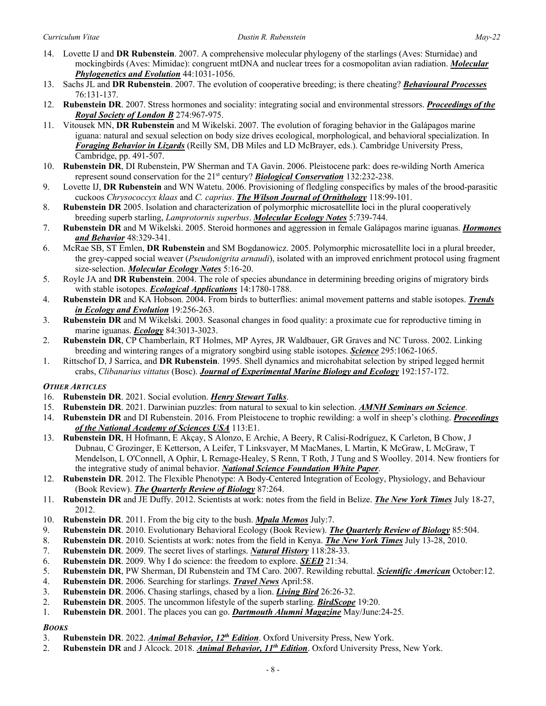- 14. Lovette IJ and **DR Rubenstein**. 2007. A comprehensive molecular phylogeny of the starlings (Aves: Sturnidae) and mockingbirds (Aves: Mimidae): congruent mtDNA and nuclear trees for a cosmopolitan avian radiation. *Molecular Phylogenetics and Evolution* 44:1031-1056.
- 13. Sachs JL and **DR Rubenstein**. 2007. The evolution of cooperative breeding; is there cheating? *Behavioural Processes* 76:131-137.
- 12. **Rubenstein DR**. 2007. Stress hormones and sociality: integrating social and environmental stressors. *Proceedings of the Royal Society of London B* 274:967-975.
- 11. Vitousek MN, **DR Rubenstein** and M Wikelski. 2007. The evolution of foraging behavior in the Galápagos marine iguana: natural and sexual selection on body size drives ecological, morphological, and behavioral specialization. In *Foraging Behavior in Lizards* (Reilly SM, DB Miles and LD McBrayer, eds.). Cambridge University Press, Cambridge, pp. 491-507.
- 10. **Rubenstein DR**, DI Rubenstein, PW Sherman and TA Gavin. 2006. Pleistocene park: does re-wilding North America represent sound conservation for the 21st century? *Biological Conservation* 132:232-238.
- 9. Lovette IJ, **DR Rubenstein** and WN Watetu. 2006. Provisioning of fledgling conspecifics by males of the brood-parasitic cuckoos *Chrysococcyx klaas* and *C. caprius*. *The Wilson Journal of Ornithology* 118:99-101.
- 8. **Rubenstein DR** 2005. Isolation and characterization of polymorphic microsatellite loci in the plural cooperatively breeding superb starling, *Lamprotornis superbus*. *Molecular Ecology Notes* 5:739-744.
- 7. **Rubenstein DR** and M Wikelski. 2005. Steroid hormones and aggression in female Galápagos marine iguanas. *Hormones and Behavior* 48:329-341.
- 6. McRae SB, ST Emlen, **DR Rubenstein** and SM Bogdanowicz. 2005. Polymorphic microsatellite loci in a plural breeder, the grey-capped social weaver (*Pseudonigrita arnaudi*), isolated with an improved enrichment protocol using fragment size-selection. *Molecular Ecology Notes* 5:16-20.
- 5. Royle JA and **DR Rubenstein**. 2004. The role of species abundance in determining breeding origins of migratory birds with stable isotopes. *Ecological Applications* 14:1780-1788.
- 4. **Rubenstein DR** and KA Hobson. 2004. From birds to butterflies: animal movement patterns and stable isotopes. *Trends in Ecology and Evolution* 19:256-263.
- 3. **Rubenstein DR** and M Wikelski. 2003. Seasonal changes in food quality: a proximate cue for reproductive timing in marine iguanas. *Ecology* 84:3013-3023.
- 2. **Rubenstein DR**, CP Chamberlain, RT Holmes, MP Ayres, JR Waldbauer, GR Graves and NC Tuross. 2002. Linking breeding and wintering ranges of a migratory songbird using stable isotopes. *Science* 295:1062-1065.
- 1. Rittschof D, J Sarrica, and **DR Rubenstein**. 1995. Shell dynamics and microhabitat selection by striped legged hermit crabs, *Clibanarius vittatus* (Bosc). *Journal of Experimental Marine Biology and Ecology* 192:157-172.

# *OTHER ARTICLES*

- 16. **Rubenstein DR**. 2021. Social evolution. *Henry Stewart Talks*.
- 15. **Rubenstein DR**. 2021. Darwinian puzzles: from natural to sexual to kin selection. *AMNH Seminars on Science*.
- 14. **Rubenstein DR** and DI Rubenstein. 2016. From Pleistocene to trophic rewilding: a wolf in sheep's clothing. *Proceedings of the National Academy of Sciences USA* 113:E1.
- 13. **Rubenstein DR**, H Hofmann, E Akçay, S Alonzo, E Archie, A Beery, R Calisi-Rodríguez, K Carleton, B Chow, J Dubnau, C Grozinger, E Ketterson, A Leifer, T Linksvayer, M MacManes, L Martin, K McGraw, L McGraw, T Mendelson, L O'Connell, A Ophir, L Remage-Healey, S Renn, T Roth, J Tung and S Woolley. 2014. New frontiers for the integrative study of animal behavior. *National Science Foundation White Paper*.
- 12. **Rubenstein DR**. 2012. The Flexible Phenotype: A Body-Centered Integration of Ecology, Physiology, and Behaviour (Book Review). *The Quarterly Review of Biology* 87:264.
- 11. **Rubenstein DR** and JE Duffy. 2012. Scientists at work: notes from the field in Belize. *The New York Times* July 18-27, 2012.
- 10. **Rubenstein DR**. 2011. From the big city to the bush. *Mpala Memos* July:7.
- 9. **Rubenstein DR**. 2010. Evolutionary Behavioral Ecology (Book Review). *The Quarterly Review of Biology* 85:504.
- 8. **Rubenstein DR**. 2010. Scientists at work: notes from the field in Kenya. *The New York Times* July 13-28, 2010.
- 7. **Rubenstein DR**. 2009. The secret lives of starlings. *Natural History* 118:28-33.
- 6. **Rubenstein DR**. 2009. Why I do science: the freedom to explore. *SEED* 21:34.
- 5. **Rubenstein DR**, PW Sherman, DI Rubenstein and TM Caro. 2007. Rewilding rebuttal. *Scientific American* October:12.
- 4. **Rubenstein DR**. 2006. Searching for starlings. *Travel News* April:58.
- 3. **Rubenstein DR**. 2006. Chasing starlings, chased by a lion. *Living Bird* 26:26-32.
- 2. **Rubenstein DR**. 2005. The uncommon lifestyle of the superb starling. *BirdScope* 19:20.
- 1. **Rubenstein DR**. 2001. The places you can go. *Dartmouth Alumni Magazine* May/June:24-25.

# *BOOKS*

- 3. **Rubenstein DR**. 2022. *Animal Behavior, 12th Edition*. Oxford University Press, New York.
- 2. **Rubenstein DR** and J Alcock. 2018. *Animal Behavior, 11th Edition*. Oxford University Press, New York.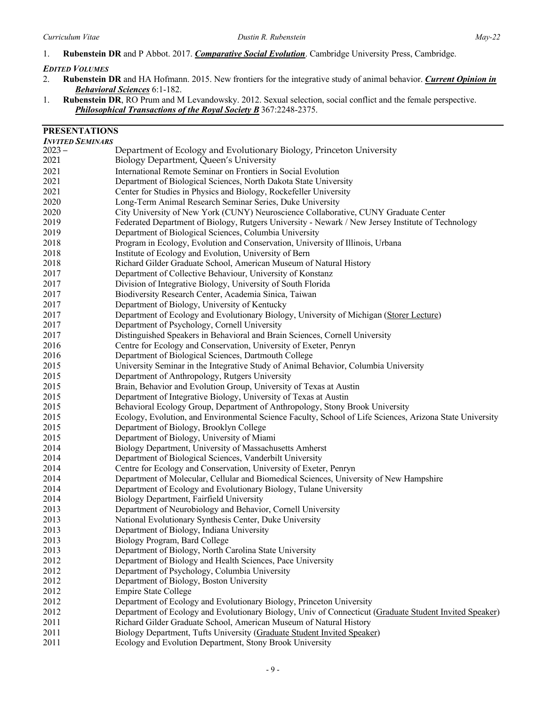## 1. **Rubenstein DR** and P Abbot. 2017. *Comparative Social Evolution*. Cambridge University Press, Cambridge.

### *EDITED VOLUMES*

- 2. **Rubenstein DR** and HA Hofmann. 2015. New frontiers for the integrative study of animal behavior. *Current Opinion in Behavioral Sciences* 6:1-182.
- 1. **Rubenstein DR**, RO Prum and M Levandowsky. 2012. Sexual selection, social conflict and the female perspective. *Philosophical Transactions of the Royal Society B* 367:2248-2375.

# **PRESENTATIONS**

| <b>INVITED SEMINARS</b> |                                                                                                          |
|-------------------------|----------------------------------------------------------------------------------------------------------|
| $2023 -$                | Department of Ecology and Evolutionary Biology, Princeton University                                     |
| 2021                    | Biology Department, Queen's University                                                                   |
| 2021                    | International Remote Seminar on Frontiers in Social Evolution                                            |
| 2021                    | Department of Biological Sciences, North Dakota State University                                         |
| 2021                    | Center for Studies in Physics and Biology, Rockefeller University                                        |
| 2020                    | Long-Term Animal Research Seminar Series, Duke University                                                |
| 2020                    | City University of New York (CUNY) Neuroscience Collaborative, CUNY Graduate Center                      |
| 2019                    | Federated Department of Biology, Rutgers University - Newark / New Jersey Institute of Technology        |
| 2019                    | Department of Biological Sciences, Columbia University                                                   |
| 2018                    | Program in Ecology, Evolution and Conservation, University of Illinois, Urbana                           |
| 2018                    | Institute of Ecology and Evolution, University of Bern                                                   |
| 2018                    | Richard Gilder Graduate School, American Museum of Natural History                                       |
| 2017                    | Department of Collective Behaviour, University of Konstanz                                               |
| 2017                    | Division of Integrative Biology, University of South Florida                                             |
| 2017                    | Biodiversity Research Center, Academia Sinica, Taiwan                                                    |
| 2017                    | Department of Biology, University of Kentucky                                                            |
| 2017                    | Department of Ecology and Evolutionary Biology, University of Michigan (Storer Lecture)                  |
| 2017                    | Department of Psychology, Cornell University                                                             |
| 2017                    | Distinguished Speakers in Behavioral and Brain Sciences, Cornell University                              |
| 2016                    | Centre for Ecology and Conservation, University of Exeter, Penryn                                        |
| 2016                    | Department of Biological Sciences, Dartmouth College                                                     |
| 2015                    | University Seminar in the Integrative Study of Animal Behavior, Columbia University                      |
| 2015                    | Department of Anthropology, Rutgers University                                                           |
| 2015                    | Brain, Behavior and Evolution Group, University of Texas at Austin                                       |
| 2015                    | Department of Integrative Biology, University of Texas at Austin                                         |
| 2015                    | Behavioral Ecology Group, Department of Anthropology, Stony Brook University                             |
| 2015                    | Ecology, Evolution, and Environmental Science Faculty, School of Life Sciences, Arizona State University |
| 2015                    | Department of Biology, Brooklyn College                                                                  |
| 2015                    | Department of Biology, University of Miami                                                               |
| 2014                    | Biology Department, University of Massachusetts Amherst                                                  |
| 2014                    | Department of Biological Sciences, Vanderbilt University                                                 |
| 2014                    | Centre for Ecology and Conservation, University of Exeter, Penryn                                        |
| 2014                    | Department of Molecular, Cellular and Biomedical Sciences, University of New Hampshire                   |
| 2014                    | Department of Ecology and Evolutionary Biology, Tulane University                                        |
| 2014                    | Biology Department, Fairfield University                                                                 |
| 2013                    |                                                                                                          |
| 2013                    | Department of Neurobiology and Behavior, Cornell University                                              |
|                         | National Evolutionary Synthesis Center, Duke University                                                  |
| 2013                    | Department of Biology, Indiana University                                                                |
| 2013                    | Biology Program, Bard College                                                                            |
| 2013                    | Department of Biology, North Carolina State University                                                   |
| 2012                    | Department of Biology and Health Sciences, Pace University                                               |
| 2012                    | Department of Psychology, Columbia University                                                            |
| 2012                    | Department of Biology, Boston University                                                                 |
| 2012                    | <b>Empire State College</b>                                                                              |
| 2012                    | Department of Ecology and Evolutionary Biology, Princeton University                                     |
| 2012                    | Department of Ecology and Evolutionary Biology, Univ of Connecticut (Graduate Student Invited Speaker)   |
| 2011                    | Richard Gilder Graduate School, American Museum of Natural History                                       |
| 2011                    | Biology Department, Tufts University (Graduate Student Invited Speaker)                                  |
| 2011                    | Ecology and Evolution Department, Stony Brook University                                                 |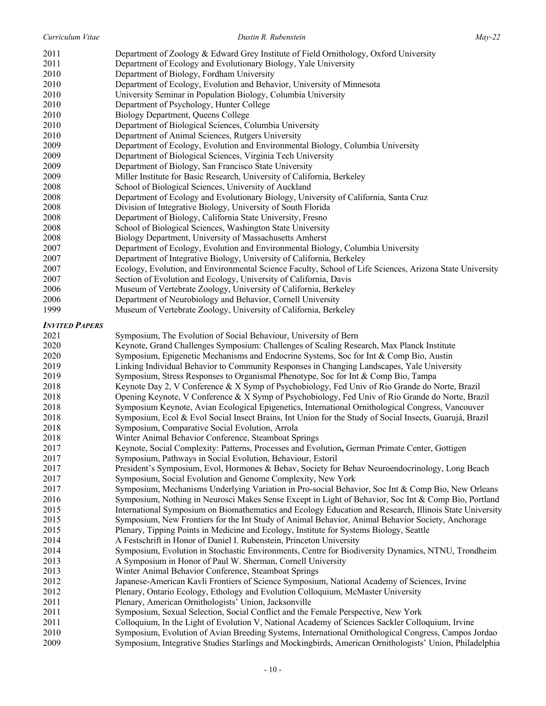| 2011                  | Department of Zoology & Edward Grey Institute of Field Ornithology, Oxford University                    |
|-----------------------|----------------------------------------------------------------------------------------------------------|
| 2011                  | Department of Ecology and Evolutionary Biology, Yale University                                          |
| 2010                  | Department of Biology, Fordham University                                                                |
| 2010                  | Department of Ecology, Evolution and Behavior, University of Minnesota                                   |
| 2010                  | University Seminar in Population Biology, Columbia University                                            |
| 2010                  | Department of Psychology, Hunter College                                                                 |
| 2010                  | Biology Department, Queens College                                                                       |
| 2010                  | Department of Biological Sciences, Columbia University                                                   |
| 2010                  | Department of Animal Sciences, Rutgers University                                                        |
| 2009                  | Department of Ecology, Evolution and Environmental Biology, Columbia University                          |
| 2009                  | Department of Biological Sciences, Virginia Tech University                                              |
| 2009                  | Department of Biology, San Francisco State University                                                    |
| 2009                  | Miller Institute for Basic Research, University of California, Berkeley                                  |
| 2008                  | School of Biological Sciences, University of Auckland                                                    |
| 2008                  | Department of Ecology and Evolutionary Biology, University of California, Santa Cruz                     |
| 2008                  | Division of Integrative Biology, University of South Florida                                             |
| 2008                  | Department of Biology, California State University, Fresno                                               |
| 2008                  | School of Biological Sciences, Washington State University                                               |
| 2008                  | Biology Department, University of Massachusetts Amherst                                                  |
| 2007                  | Department of Ecology, Evolution and Environmental Biology, Columbia University                          |
| 2007                  | Department of Integrative Biology, University of California, Berkeley                                    |
| 2007                  | Ecology, Evolution, and Environmental Science Faculty, School of Life Sciences, Arizona State University |
| 2007                  | Section of Evolution and Ecology, University of California, Davis                                        |
| 2006                  | Museum of Vertebrate Zoology, University of California, Berkeley                                         |
| 2006                  | Department of Neurobiology and Behavior, Cornell University                                              |
| 1999                  | Museum of Vertebrate Zoology, University of California, Berkeley                                         |
|                       |                                                                                                          |
| <b>INVITED PAPERS</b> |                                                                                                          |
| 2021                  | Symposium, The Evolution of Social Behaviour, University of Bern                                         |
| 2020                  | Keynote, Grand Challenges Symposium: Challenges of Scaling Research, Max Planck Institute                |
| 2020                  | Symposium, Epigenetic Mechanisms and Endocrine Systems, Soc for Int & Comp Bio, Austin                   |
| 2019                  | Linking Individual Behavior to Community Responses in Changing Landscapes, Yale University               |
| 2019                  | Symposium, Stress Responses to Organismal Phenotype, Soc for Int & Comp Bio, Tampa                       |
| 2018                  | Keynote Day 2, V Conference & X Symp of Psychobiology, Fed Univ of Rio Grande do Norte, Brazil           |
| 2018                  | Opening Keynote, V Conference & X Symp of Psychobiology, Fed Univ of Rio Grande do Norte, Brazil         |
| 2018                  | Symposium Keynote, Avian Ecological Epigenetics, International Ornithological Congress, Vancouver        |
| 2018                  | Symposium, Ecol & Evol Social Insect Brains, Int Union for the Study of Social Insects, Guarujá, Brazil  |
| 2018                  | Symposium, Comparative Social Evolution, Arrola                                                          |
| 2018                  | Winter Animal Behavior Conference, Steamboat Springs                                                     |
| 2017                  | Keynote, Social Complexity: Patterns, Processes and Evolution, German Primate Center, Gottigen           |
| 2017                  | Symposium, Pathways in Social Evolution, Behaviour, Estoril                                              |
| 2017                  | President's Symposium, Evol, Hormones & Behav, Society for Behav Neuroendocrinology, Long Beach          |
| 2017                  | Symposium, Social Evolution and Genome Complexity, New York                                              |
| 2017                  | Symposium, Mechanisms Underlying Variation in Pro-social Behavior, Soc Int & Comp Bio, New Orleans       |
| 2016                  | Symposium, Nothing in Neurosci Makes Sense Except in Light of Behavior, Soc Int & Comp Bio, Portland     |
| 2015                  | International Symposium on Biomathematics and Ecology Education and Research, Illinois State University  |
| 2015                  | Symposium, New Frontiers for the Int Study of Animal Behavior, Animal Behavior Society, Anchorage        |
| 2015                  | Plenary, Tipping Points in Medicine and Ecology, Institute for Systems Biology, Seattle                  |
| 2014                  | A Festschrift in Honor of Daniel I. Rubenstein, Princeton University                                     |
| 2014                  | Symposium, Evolution in Stochastic Environments, Centre for Biodiversity Dynamics, NTNU, Trondheim       |
| 2013                  | A Symposium in Honor of Paul W. Sherman, Cornell University                                              |
| 2013                  | Winter Animal Behavior Conference, Steamboat Springs                                                     |
| 2012                  | Japanese-American Kavli Frontiers of Science Symposium, National Academy of Sciences, Irvine             |
| 2012                  | Plenary, Ontario Ecology, Ethology and Evolution Colloquium, McMaster University                         |
| 2011                  | Plenary, American Ornithologists' Union, Jacksonville                                                    |
| 2011                  | Symposium, Sexual Selection, Social Conflict and the Female Perspective, New York                        |
| 2011                  | Colloquium, In the Light of Evolution V, National Academy of Sciences Sackler Colloquium, Irvine         |
| 2010                  | Symposium, Evolution of Avian Breeding Systems, International Ornithological Congress, Campos Jordao     |
| 2009                  | Symposium, Integrative Studies Starlings and Mockingbirds, American Ornithologists' Union, Philadelphia  |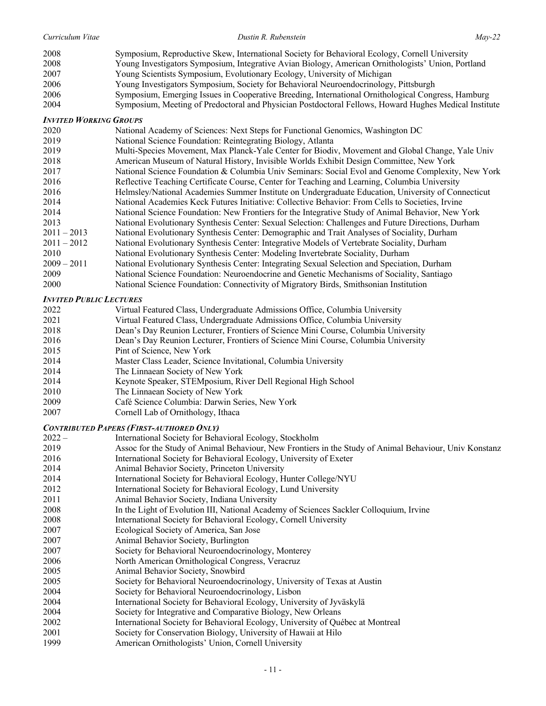| Curriculum Vitae              | Dustin R. Rubenstein                                                                                  | $Mav-22$ |
|-------------------------------|-------------------------------------------------------------------------------------------------------|----------|
| 2008                          | Symposium, Reproductive Skew, International Society for Behavioral Ecology, Cornell University        |          |
| 2008                          | Young Investigators Symposium, Integrative Avian Biology, American Ornithologists' Union, Portland    |          |
| 2007                          | Young Scientists Symposium, Evolutionary Ecology, University of Michigan                              |          |
| 2006                          | Young Investigators Symposium, Society for Behavioral Neuroendocrinology, Pittsburgh                  |          |
| 2006                          | Symposium, Emerging Issues in Cooperative Breeding, International Ornithological Congress, Hamburg    |          |
| 2004                          | Symposium, Meeting of Predoctoral and Physician Postdoctoral Fellows, Howard Hughes Medical Institute |          |
| <b>INVITED WORKING GROUPS</b> |                                                                                                       |          |
| 2020                          | National Academy of Sciences: Next Steps for Functional Genomics, Washington DC                       |          |
| 2019                          | National Science Foundation: Reintegrating Biology, Atlanta                                           |          |
| 2019                          | Multi-Species Movement, Max Planck-Yale Center for Biodiv, Movement and Global Change, Yale Univ      |          |
| 2018                          | American Museum of Natural History, Invisible Worlds Exhibit Design Committee, New York               |          |
| 2017                          | National Science Foundation & Columbia Univ Seminars: Social Evol and Genome Complexity, New York     |          |
| 2016                          | Reflective Teaching Certificate Course, Center for Teaching and Learning, Columbia University         |          |
| 2016                          | Helmsley/National Academies Summer Institute on Undergraduate Education, University of Connecticut    |          |
| 2014                          | National Academies Keck Futures Initiative: Collective Behavior: From Cells to Societies, Irvine      |          |

- National Evolutionary Synthesis Center: Sexual Selection: Challenges and Future Directions, Durham 2011 – 2013 National Evolutionary Synthesis Center: Demographic and Trait Analyses of Sociality, Durham
- 2011 2012 National Evolutionary Synthesis Center: Integrative Models of Vertebrate Sociality, Durham

National Science Foundation: New Frontiers for the Integrative Study of Animal Behavior, New York

- National Evolutionary Synthesis Center: Modeling Invertebrate Sociality, Durham
- 2009 2011 National Evolutionary Synthesis Center: Integrating Sexual Selection and Speciation, Durham
- 2009 National Science Foundation: Neuroendocrine and Genetic Mechanisms of Sociality, Santiago
- National Science Foundation: Connectivity of Migratory Birds, Smithsonian Institution

# *INVITED PUBLIC LECTURES*

| 2022                 | Virtual Featured Class, Undergraduate Admissions Office, Columbia University       |
|----------------------|------------------------------------------------------------------------------------|
| 2021                 | Virtual Featured Class, Undergraduate Admissions Office, Columbia University       |
| 2018                 | Dean's Day Reunion Lecturer, Frontiers of Science Mini Course, Columbia University |
| $\sim$ $\sim$ $\sim$ |                                                                                    |

- Dean's Day Reunion Lecturer, Frontiers of Science Mini Course, Columbia University
- Pint of Science, New York
- Master Class Leader, Science Invitational, Columbia University
- The Linnaean Society of New York
- Keynote Speaker, STEMposium, River Dell Regional High School
- The Linnaean Society of New York
- Café Science Columbia: Darwin Series, New York
- Cornell Lab of Ornithology, Ithaca

# *CONTRIBUTED PAPERS (FIRST-AUTHORED ONLY)*

- International Society for Behavioral Ecology, Stockholm
- Assoc for the Study of Animal Behaviour, New Frontiers in the Study of Animal Behaviour, Univ Konstanz International Society for Behavioral Ecology, University of Exeter
- Animal Behavior Society, Princeton University
- International Society for Behavioral Ecology, Hunter College/NYU
- International Society for Behavioral Ecology, Lund University
- Animal Behavior Society, Indiana University
- In the Light of Evolution III, National Academy of Sciences Sackler Colloquium, Irvine
- International Society for Behavioral Ecology, Cornell University
- Ecological Society of America, San Jose
- Animal Behavior Society, Burlington
- Society for Behavioral Neuroendocrinology, Monterey
- North American Ornithological Congress, Veracruz
- Animal Behavior Society, Snowbird
- Society for Behavioral Neuroendocrinology, University of Texas at Austin
- Society for Behavioral Neuroendocrinology, Lisbon
- International Society for Behavioral Ecology, University of Jyväskylä
- Society for Integrative and Comparative Biology, New Orleans
- International Society for Behavioral Ecology, University of Québec at Montreal
- Society for Conservation Biology, University of Hawaii at Hilo
- American Ornithologists' Union, Cornell University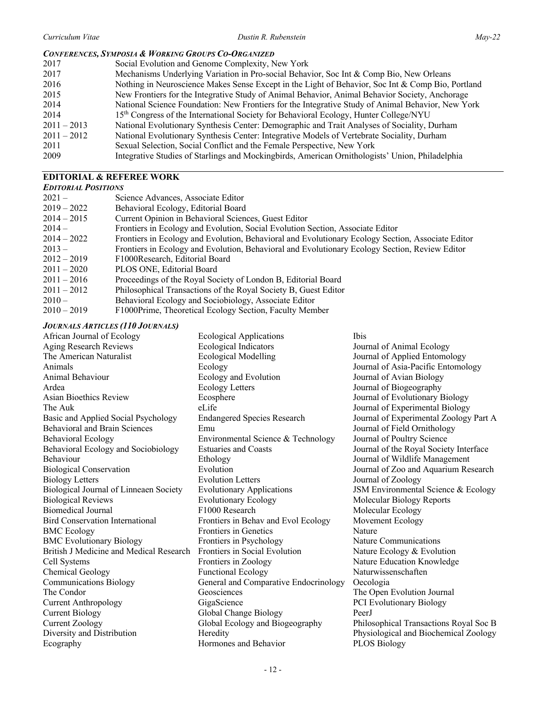#### *CONFERENCES, SYMPOSIA & WORKING GROUPS CO-ORGANIZED*

| 2017          | Social Evolution and Genome Complexity, New York                                                  |
|---------------|---------------------------------------------------------------------------------------------------|
| 2017          | Mechanisms Underlying Variation in Pro-social Behavior, Soc Int & Comp Bio, New Orleans           |
| 2016          | Nothing in Neuroscience Makes Sense Except in the Light of Behavior, Soc Int & Comp Bio, Portland |
| 2015          | New Frontiers for the Integrative Study of Animal Behavior, Animal Behavior Society, Anchorage    |
| 2014          | National Science Foundation: New Frontiers for the Integrative Study of Animal Behavior, New York |
| 2014          | 15 <sup>th</sup> Congress of the International Society for Behavioral Ecology, Hunter College/NYU |
| $2011 - 2013$ | National Evolutionary Synthesis Center: Demographic and Trait Analyses of Sociality, Durham       |
| $2011 - 2012$ | National Evolutionary Synthesis Center: Integrative Models of Vertebrate Sociality, Durham        |
| 2011          | Sexual Selection, Social Conflict and the Female Perspective, New York                            |
| 2009          | Integrative Studies of Starlings and Mockingbirds, American Ornithologists' Union, Philadelphia   |
|               |                                                                                                   |

### **EDITORIAL & REFEREE WORK**

| <b>EDITORIAL POSITIONS</b> |                                                                                                   |  |
|----------------------------|---------------------------------------------------------------------------------------------------|--|
| $2021 -$                   | Science Advances, Associate Editor                                                                |  |
| $2019 - 2022$              | Behavioral Ecology, Editorial Board                                                               |  |
| $2014 - 2015$              | Current Opinion in Behavioral Sciences, Guest Editor                                              |  |
| $2014-$                    | Frontiers in Ecology and Evolution, Social Evolution Section, Associate Editor                    |  |
| $2014 - 2022$              | Frontiers in Ecology and Evolution, Behavioral and Evolutionary Ecology Section, Associate Editor |  |
| $2013-$                    | Frontiers in Ecology and Evolution, Behavioral and Evolutionary Ecology Section, Review Editor    |  |
| $2012 - 2019$              | F1000Research, Editorial Board                                                                    |  |
| $2011 - 2020$              | PLOS ONE, Editorial Board                                                                         |  |
| $2011 - 2016$              | Proceedings of the Royal Society of London B, Editorial Board                                     |  |
| $2011 - 2012$              | Philosophical Transactions of the Royal Society B, Guest Editor                                   |  |
| $2010-$                    | Behavioral Ecology and Sociobiology, Associate Editor                                             |  |
| $2010 - 2019$              | F1000Prime, Theoretical Ecology Section, Faculty Member                                           |  |

#### *JOURNALS ARTICLES (110 JOURNALS)*

African Journal of Ecology Aging Research Reviews The American Naturalist Animals Animal Behaviour Ardea Asian Bioethics Review The Auk Basic and Applied Social Psychology Behavioral and Brain Sciences Behavioral Ecology Behavioral Ecology and Sociobiology Behaviour Biological Conservation Biology Letters Biological Journal of Linneaen Society Biological Reviews Biomedical Journal Bird Conservation International BMC Ecology BMC Evolutionary Biology British J Medicine and Medical Research Cell Systems Chemical Geology Communications Biology The Condor Current Anthropology Current Biology Current Zoology Diversity and Distribution Ecography Ecological Applications Ecological Indicators Ecological Modelling Ecology Ecology and Evolution Ecology Letters Ecosphere eLife Endangered Species Research Emu Environmental Science & Technology Estuaries and Coasts Ethology Evolution Evolution Letters Evolutionary Applications Evolutionary Ecology F1000 Research Frontiers in Behav and Evol Ecology Frontiers in Genetics Frontiers in Psychology Frontiers in Social Evolution Frontiers in Zoology Functional Ecology General and Comparative Endocrinology Geosciences GigaScience Global Change Biology Global Ecology and Biogeography Heredity Hormones and Behavior

Ibis Journal of Animal Ecology Journal of Applied Entomology Journal of Asia-Pacific Entomology Journal of Avian Biology Journal of Biogeography Journal of Evolutionary Biology Journal of Experimental Biology Journal of Experimental Zoology Part A Journal of Field Ornithology Journal of Poultry Science Journal of the Royal Society Interface Journal of Wildlife Management Journal of Zoo and Aquarium Research Journal of Zoology JSM Environmental Science & Ecology Molecular Biology Reports Molecular Ecology Movement Ecology Nature Nature Communications Nature Ecology & Evolution Nature Education Knowledge Naturwissenschaften Oecologia The Open Evolution Journal PCI Evolutionary Biology PeerJ Philosophical Transactions Royal Soc B Physiological and Biochemical Zoology PLOS Biology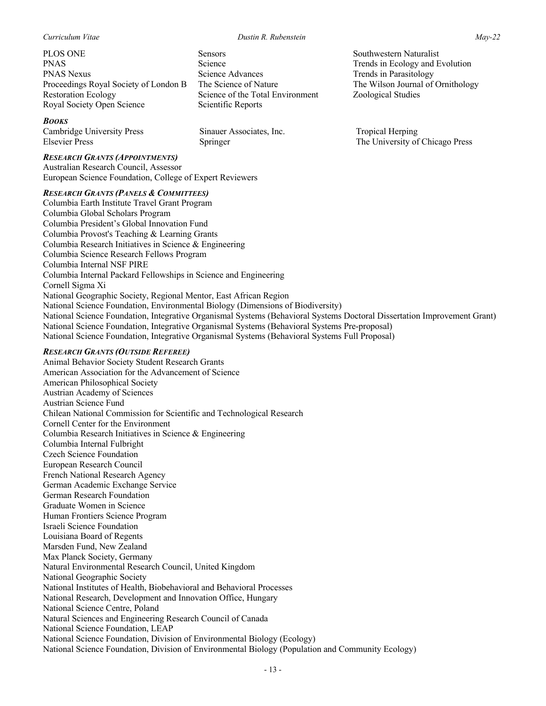PLOS ONE PNAS PNAS Nexus Proceedings Royal Society of London B Restoration Ecology Royal Society Open Science

## *BOOKS*

Cambridge University Press Elsevier Press

#### *RESEARCH GRANTS (APPOINTMENTS)*

Australian Research Council, Assessor European Science Foundation, College of Expert Reviewers

Sensors Science

Springer

Science Advances The Science of Nature

Scientific Reports

Sinauer Associates, Inc.

Science of the Total Environment

#### *RESEARCH GRANTS (PANELS & COMMITTEES)*

Columbia Earth Institute Travel Grant Program Columbia Global Scholars Program Columbia President's Global Innovation Fund Columbia Provost's Teaching & Learning Grants Columbia Research Initiatives in Science & Engineering Columbia Science Research Fellows Program Columbia Internal NSF PIRE Columbia Internal Packard Fellowships in Science and Engineering Cornell Sigma Xi National Geographic Society, Regional Mentor, East African Region National Science Foundation, Environmental Biology (Dimensions of Biodiversity) National Science Foundation, Integrative Organismal Systems (Behavioral Systems Doctoral Dissertation Improvement Grant) National Science Foundation, Integrative Organismal Systems (Behavioral Systems Pre-proposal) National Science Foundation, Integrative Organismal Systems (Behavioral Systems Full Proposal)

### *RESEARCH GRANTS (OUTSIDE REFEREE)*

Animal Behavior Society Student Research Grants American Association for the Advancement of Science American Philosophical Society Austrian Academy of Sciences Austrian Science Fund Chilean National Commission for Scientific and Technological Research Cornell Center for the Environment Columbia Research Initiatives in Science & Engineering Columbia Internal Fulbright Czech Science Foundation European Research Council French National Research Agency German Academic Exchange Service German Research Foundation Graduate Women in Science Human Frontiers Science Program Israeli Science Foundation Louisiana Board of Regents Marsden Fund, New Zealand Max Planck Society, Germany Natural Environmental Research Council, United Kingdom National Geographic Society National Institutes of Health, Biobehavioral and Behavioral Processes National Research, Development and Innovation Office, Hungary National Science Centre, Poland Natural Sciences and Engineering Research Council of Canada National Science Foundation, LEAP National Science Foundation, Division of Environmental Biology (Ecology) National Science Foundation, Division of Environmental Biology (Population and Community Ecology)

Southwestern Naturalist Trends in Ecology and Evolution Trends in Parasitology The Wilson Journal of Ornithology Zoological Studies

Tropical Herping The University of Chicago Press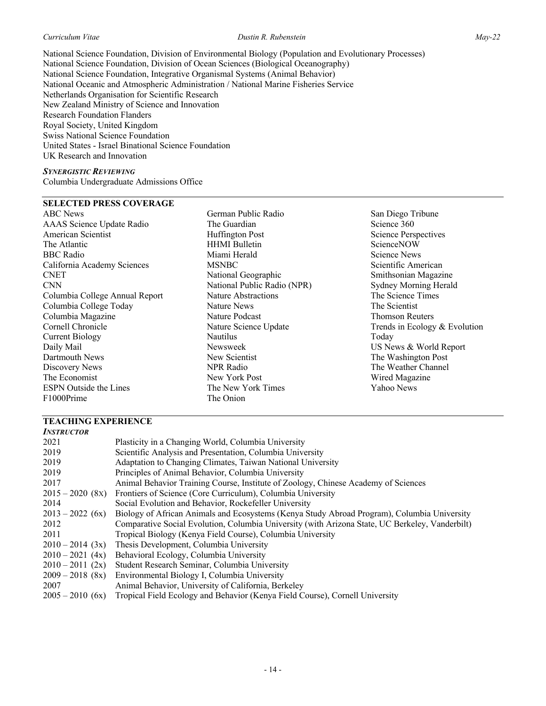#### *Curriculum Vitae Dustin R. Rubenstein May-22*

National Science Foundation, Division of Environmental Biology (Population and Evolutionary Processes) National Science Foundation, Division of Ocean Sciences (Biological Oceanography) National Science Foundation, Integrative Organismal Systems (Animal Behavior) National Oceanic and Atmospheric Administration / National Marine Fisheries Service Netherlands Organisation for Scientific Research New Zealand Ministry of Science and Innovation Research Foundation Flanders Royal Society, United Kingdom Swiss National Science Foundation United States - Israel Binational Science Foundation UK Research and Innovation

#### *SYNERGISTIC REVIEWING*

Columbia Undergraduate Admissions Office

# **SELECTED PRESS COVERAGE**

ABC News AAAS Science Update Radio American Scientist The Atlantic BBC Radio California Academy Sciences CNET CNN Columbia College Annual Report Columbia College Today Columbia Magazine Cornell Chronicle Current Biology Daily Mail Dartmouth News Discovery News The Economist ESPN Outside the Lines F1000Prime

German Public Radio The Guardian Huffington Post HHMI Bulletin Miami Herald MSNBC National Geographic National Public Radio (NPR) Nature Abstractions Nature News Nature Podcast Nature Science Update Nautilus Newsweek New Scientist NPR Radio New York Post The New York Times The Onion

San Diego Tribune Science 360 Science Perspectives ScienceNOW Science News Scientific American Smithsonian Magazine Sydney Morning Herald The Science Times The Scientist Thomson Reuters Trends in Ecology & Evolution Today US News & World Report The Washington Post The Weather Channel Wired Magazine Yahoo News

# **TEACHING EXPERIENCE**

| <b>INSTRUCTOR</b>  |                                                                                                 |
|--------------------|-------------------------------------------------------------------------------------------------|
| 2021               | Plasticity in a Changing World, Columbia University                                             |
| 2019               | Scientific Analysis and Presentation, Columbia University                                       |
| 2019               | Adaptation to Changing Climates, Taiwan National University                                     |
| 2019               | Principles of Animal Behavior, Columbia University                                              |
| 2017               | Animal Behavior Training Course, Institute of Zoology, Chinese Academy of Sciences              |
| $2015 - 2020$ (8x) | Frontiers of Science (Core Curriculum), Columbia University                                     |
| 2014               | Social Evolution and Behavior, Rockefeller University                                           |
| $2013 - 2022$ (6x) | Biology of African Animals and Ecosystems (Kenya Study Abroad Program), Columbia University     |
| 2012               | Comparative Social Evolution, Columbia University (with Arizona State, UC Berkeley, Vanderbilt) |
| 2011               | Tropical Biology (Kenya Field Course), Columbia University                                      |
| $2010 - 2014$ (3x) | Thesis Development, Columbia University                                                         |
| $2010 - 2021$ (4x) | Behavioral Ecology, Columbia University                                                         |
| $2010 - 2011$ (2x) | Student Research Seminar, Columbia University                                                   |
| $2009 - 2018$ (8x) | Environmental Biology I, Columbia University                                                    |
| 2007               | Animal Behavior, University of California, Berkeley                                             |
| $2005 - 2010$ (6x) | Tropical Field Ecology and Behavior (Kenya Field Course), Cornell University                    |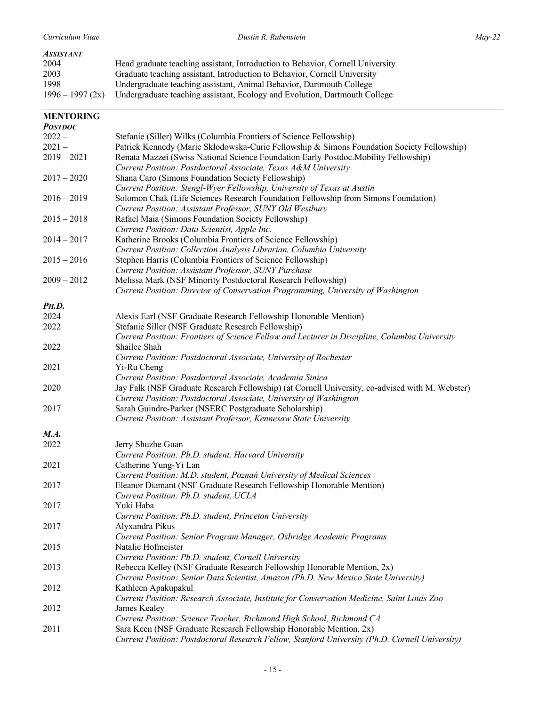## *ASSISTANT*

| 2004              | Head graduate teaching assistant, Introduction to Behavior, Cornell University |
|-------------------|--------------------------------------------------------------------------------|
| 2003              | Graduate teaching assistant, Introduction to Behavior, Cornell University      |
| 1998              | Undergraduate teaching assistant, Animal Behavior, Dartmouth College           |
| $1996 - 1997(2x)$ | Undergraduate teaching assistant, Ecology and Evolution, Dartmouth College     |

| <b>MENTORING</b> |                                                                                                 |
|------------------|-------------------------------------------------------------------------------------------------|
| <b>POSTDOC</b>   |                                                                                                 |
| $2022 -$         | Stefanie (Siller) Wilks (Columbia Frontiers of Science Fellowship)                              |
| $2021 -$         | Patrick Kennedy (Marie Skłodowska-Curie Fellowship & Simons Foundation Society Fellowship)      |
| $2019 - 2021$    | Renata Mazzei (Swiss National Science Foundation Early Postdoc.Mobility Fellowship)             |
|                  | Current Position: Postdoctoral Associate, Texas A&M University                                  |
| $2017 - 2020$    | Shana Caro (Simons Foundation Society Fellowship)                                               |
|                  | Current Position: Stengl-Wyer Fellowship, University of Texas at Austin                         |
| $2016 - 2019$    | Solomon Chak (Life Sciences Research Foundation Fellowship from Simons Foundation)              |
|                  | Current Position: Assistant Professor, SUNY Old Westbury                                        |
| $2015 - 2018$    | Rafael Maia (Simons Foundation Society Fellowship)                                              |
|                  | Current Position: Data Scientist, Apple Inc.                                                    |
| $2014 - 2017$    | Katherine Brooks (Columbia Frontiers of Science Fellowship)                                     |
|                  | Current Position: Collection Analysis Librarian, Columbia University                            |
| $2015 - 2016$    | Stephen Harris (Columbia Frontiers of Science Fellowship)                                       |
|                  |                                                                                                 |
|                  | Current Position: Assistant Professor, SUNY Purchase                                            |
| $2009 - 2012$    | Melissa Mark (NSF Minority Postdoctoral Research Fellowship)                                    |
|                  | Current Position: Director of Conservation Programming, University of Washington                |
| <b>PH.D.</b>     |                                                                                                 |
| $2024 -$         | Alexis Earl (NSF Graduate Research Fellowship Honorable Mention)                                |
| 2022             | Stefanie Siller (NSF Graduate Research Fellowship)                                              |
|                  | Current Position: Frontiers of Science Fellow and Lecturer in Discipline, Columbia University   |
| 2022             | Shailee Shah                                                                                    |
|                  | Current Position: Postdoctoral Associate, University of Rochester                               |
| 2021             | Yi-Ru Cheng                                                                                     |
|                  | Current Position: Postdoctoral Associate, Academia Sinica                                       |
| 2020             | Jay Falk (NSF Graduate Research Fellowship) (at Cornell University, co-advised with M. Webster) |
|                  |                                                                                                 |
|                  | Current Position: Postdoctoral Associate, University of Washington                              |
| 2017             | Sarah Guindre-Parker (NSERC Postgraduate Scholarship)                                           |
|                  | Current Position: Assistant Professor, Kennesaw State University                                |
| M.A.             |                                                                                                 |
| 2022             | Jerry Shuzhe Guan                                                                               |
|                  | Current Position: Ph.D. student, Harvard University                                             |
| 2021             | Catherine Yung-Yi Lan                                                                           |
|                  | Current Position: M.D. student, Poznań University of Medical Sciences                           |
| 2017             | Eleanor Diamant (NSF Graduate Research Fellowship Honorable Mention)                            |
|                  | Current Position: Ph.D. student, UCLA                                                           |
| 2017             | Yuki Haba                                                                                       |
|                  | Current Position: Ph.D. student, Princeton University                                           |
| 2017             |                                                                                                 |
|                  | Alyxandra Pikus                                                                                 |
|                  | Current Position: Senior Program Manager, Oxbridge Academic Programs                            |
| 2015             | Natalie Hofmeister                                                                              |
|                  | Current Position: Ph.D. student, Cornell University                                             |
| 2013             | Rebecca Kelley (NSF Graduate Research Fellowship Honorable Mention, 2x)                         |
|                  | Current Position: Senior Data Scientist, Amazon (Ph.D. New Mexico State University)             |
| 2012             | Kathleen Apakupakul                                                                             |
|                  | Current Position: Research Associate, Institute for Conservation Medicine, Saint Louis Zoo      |
| 2012             | James Kealey                                                                                    |
|                  | Current Position: Science Teacher, Richmond High School, Richmond CA                            |
| 2011             | Sara Keen (NSF Graduate Research Fellowship Honorable Mention, 2x)                              |
|                  | Current Position: Postdoctoral Research Fellow, Stanford University (Ph.D. Cornell University)  |
|                  |                                                                                                 |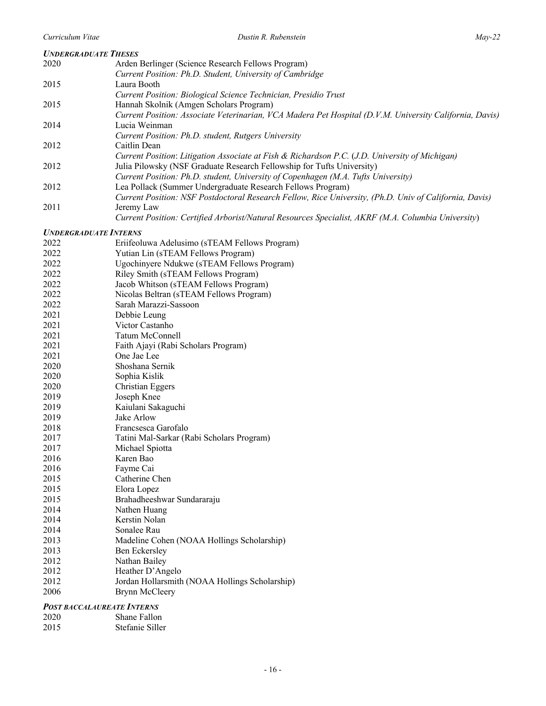| <b>UNDERGRADUATE THESES</b>       |                                                                                                         |
|-----------------------------------|---------------------------------------------------------------------------------------------------------|
| 2020                              | Arden Berlinger (Science Research Fellows Program)                                                      |
|                                   | Current Position: Ph.D. Student, University of Cambridge                                                |
| 2015                              | Laura Booth                                                                                             |
|                                   | Current Position: Biological Science Technician, Presidio Trust                                         |
| 2015                              | Hannah Skolnik (Amgen Scholars Program)                                                                 |
|                                   | Current Position: Associate Veterinarian, VCA Madera Pet Hospital (D.V.M. University California, Davis) |
| 2014                              | Lucia Weinman                                                                                           |
|                                   | Current Position: Ph.D. student, Rutgers University                                                     |
| 2012                              | Caitlin Dean                                                                                            |
|                                   | Current Position: Litigation Associate at Fish & Richardson P.C. (J.D. University of Michigan)          |
| 2012                              | Julia Pilowsky (NSF Graduate Research Fellowship for Tufts University)                                  |
|                                   | Current Position: Ph.D. student, University of Copenhagen (M.A. Tufts University)                       |
| 2012                              | Lea Pollack (Summer Undergraduate Research Fellows Program)                                             |
|                                   | Current Position: NSF Postdoctoral Research Fellow, Rice University, (Ph.D. Univ of California, Davis)  |
| 2011                              | Jeremy Law                                                                                              |
|                                   | Current Position: Certified Arborist/Natural Resources Specialist, AKRF (M.A. Columbia University)      |
|                                   |                                                                                                         |
| <b>UNDERGRADUATE INTERNS</b>      |                                                                                                         |
| 2022                              | Eriifeoluwa Adelusimo (sTEAM Fellows Program)                                                           |
| 2022                              | Yutian Lin (sTEAM Fellows Program)                                                                      |
| 2022                              | Ugochinyere Ndukwe (sTEAM Fellows Program)                                                              |
| 2022                              | Riley Smith (sTEAM Fellows Program)                                                                     |
| 2022                              | Jacob Whitson (sTEAM Fellows Program)                                                                   |
| 2022                              | Nicolas Beltran (sTEAM Fellows Program)                                                                 |
| 2022                              | Sarah Marazzi-Sassoon                                                                                   |
| 2021                              | Debbie Leung                                                                                            |
| 2021                              | Victor Castanho                                                                                         |
| 2021                              | Tatum McConnell                                                                                         |
| 2021                              | Faith Ajayi (Rabi Scholars Program)                                                                     |
| 2021                              | One Jae Lee                                                                                             |
| 2020                              | Shoshana Sernik                                                                                         |
| 2020                              | Sophia Kislik                                                                                           |
| 2020                              | Christian Eggers                                                                                        |
| 2019                              | Joseph Knee                                                                                             |
| 2019                              | Kaiulani Sakaguchi                                                                                      |
| 2019                              | Jake Arlow                                                                                              |
| 2018                              | Francsesca Garofalo                                                                                     |
| 2017                              | Tatini Mal-Sarkar (Rabi Scholars Program)                                                               |
| 2017                              | Michael Spiotta                                                                                         |
| 2016                              | Karen Bao                                                                                               |
| 2016                              | Fayme Cai                                                                                               |
| 2015                              | Catherine Chen                                                                                          |
| 2015                              | Elora Lopez                                                                                             |
| 2015                              | Brahadheeshwar Sundararaju                                                                              |
| 2014                              | Nathen Huang                                                                                            |
| 2014                              | Kerstin Nolan                                                                                           |
| 2014                              | Sonalee Rau                                                                                             |
| 2013                              | Madeline Cohen (NOAA Hollings Scholarship)                                                              |
| 2013                              | <b>Ben Eckersley</b>                                                                                    |
| 2012                              | Nathan Bailey                                                                                           |
| 2012                              | Heather D'Angelo                                                                                        |
| 2012                              | Jordan Hollarsmith (NOAA Hollings Scholarship)                                                          |
| 2006                              | <b>Brynn McCleery</b>                                                                                   |
|                                   |                                                                                                         |
| <b>POST BACCALAUREATE INTERNS</b> |                                                                                                         |

2020 Shane Fallon<br>
2015 Stefanie Sille Stefanie Siller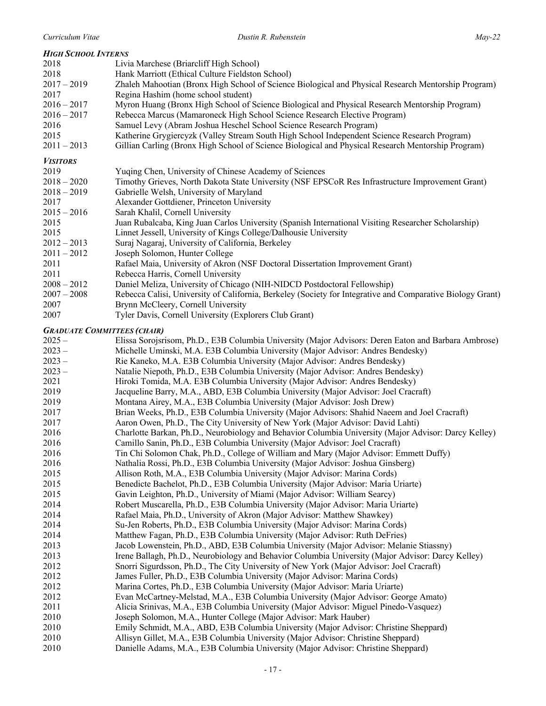| <b>HIGH SCHOOL INTERNS</b>         |                                                                                                            |
|------------------------------------|------------------------------------------------------------------------------------------------------------|
| 2018                               | Livia Marchese (Briarcliff High School)                                                                    |
| 2018                               | Hank Marriott (Ethical Culture Fieldston School)                                                           |
| $2017 - 2019$                      | Zhaleh Mahootian (Bronx High School of Science Biological and Physical Research Mentorship Program)        |
| 2017                               | Regina Hashim (home school student)                                                                        |
| $2016 - 2017$                      | Myron Huang (Bronx High School of Science Biological and Physical Research Mentorship Program)             |
| $2016 - 2017$                      | Rebecca Marcus (Mamaroneck High School Science Research Elective Program)                                  |
| 2016                               | Samuel Levy (Abram Joshua Heschel School Science Research Program)                                         |
| 2015                               | Katherine Grygiercyzk (Valley Stream South High School Independent Science Research Program)               |
| $2011 - 2013$                      | Gillian Carling (Bronx High School of Science Biological and Physical Research Mentorship Program)         |
| <b>VISITORS</b>                    |                                                                                                            |
| 2019                               | Yuqing Chen, University of Chinese Academy of Sciences                                                     |
| $2018 - 2020$                      | Timothy Grieves, North Dakota State University (NSF EPSCoR Res Infrastructure Improvement Grant)           |
| $2018 - 2019$                      | Gabrielle Welsh, University of Maryland                                                                    |
| 2017                               | Alexander Gottdiener, Princeton University                                                                 |
| $2015 - 2016$                      | Sarah Khalil, Cornell University                                                                           |
| 2015                               | Juan Rubalcaba, King Juan Carlos University (Spanish International Visiting Researcher Scholarship)        |
| 2015                               | Linnet Jessell, University of Kings College/Dalhousie University                                           |
| $2012 - 2013$                      | Suraj Nagaraj, University of California, Berkeley                                                          |
| $2011 - 2012$                      | Joseph Solomon, Hunter College                                                                             |
| 2011                               | Rafael Maia, University of Akron (NSF Doctoral Dissertation Improvement Grant)                             |
| 2011                               | Rebecca Harris, Cornell University                                                                         |
| $2008 - 2012$                      | Daniel Meliza, University of Chicago (NIH-NIDCD Postdoctoral Fellowship)                                   |
| $2007 - 2008$                      | Rebecca Calisi, University of California, Berkeley (Society for Integrative and Comparative Biology Grant) |
| 2007                               | Brynn McCleery, Cornell University                                                                         |
| 2007                               | Tyler Davis, Cornell University (Explorers Club Grant)                                                     |
| <b>GRADUATE COMMITTEES (CHAIR)</b> |                                                                                                            |
| $2025 -$                           | Elissa Sorojsrisom, Ph.D., E3B Columbia University (Major Advisors: Deren Eaton and Barbara Ambrose)       |
| $2023 -$                           | Michelle Uminski, M.A. E3B Columbia University (Major Advisor: Andres Bendesky)                            |
| $2023 -$                           | Rie Kaneko, M.A. E3B Columbia University (Major Advisor: Andres Bendesky)                                  |
| $2023 -$                           | Natalie Niepoth, Ph.D., E3B Columbia University (Major Advisor: Andres Bendesky)                           |
| 2021                               | Hiroki Tomida, M.A. E3B Columbia University (Major Advisor: Andres Bendesky)                               |
| 2019                               | Jacqueline Barry, M.A., ABD, E3B Columbia University (Major Advisor: Joel Cracraft)                        |
| 2019                               | Montana Airey, M.A., E3B Columbia University (Major Advisor: Josh Drew)                                    |
| 2017                               | Brian Weeks, Ph.D., E3B Columbia University (Major Advisors: Shahid Naeem and Joel Cracraft)               |
| 2017                               | Aaron Owen, Ph.D., The City University of New York (Major Advisor: David Lahti)                            |
| 2016                               | Charlotte Barkan, Ph.D., Neurobiology and Behavior Columbia University (Major Advisor: Darcy Kelley)       |
| 2016                               | Camillo Sanin, Ph.D., E3B Columbia University (Major Advisor: Joel Cracraft)                               |
| 2016                               | Tin Chi Solomon Chak, Ph.D., College of William and Mary (Major Advisor: Emmett Duffy)                     |
| 2016                               | Nathalia Rossi, Ph.D., E3B Columbia University (Major Advisor: Joshua Ginsberg)                            |
| 2015                               | Allison Roth, M.A., E3B Columbia University (Major Advisor: Marina Cords)                                  |
| 2015                               | Benedicte Bachelot, Ph.D., E3B Columbia University (Major Advisor: Maria Uriarte)                          |
| 2015                               | Gavin Leighton, Ph.D., University of Miami (Major Advisor: William Searcy)                                 |
| 2014                               | Robert Muscarella, Ph.D., E3B Columbia University (Major Advisor: Maria Uriarte)                           |
| 2014                               | Rafael Maia, Ph.D., University of Akron (Major Advisor: Matthew Shawkey)                                   |
| 2014                               | Su-Jen Roberts, Ph.D., E3B Columbia University (Major Advisor: Marina Cords)                               |
| 2014                               | Matthew Fagan, Ph.D., E3B Columbia University (Major Advisor: Ruth DeFries)                                |
| 2013                               | Jacob Lowenstein, Ph.D., ABD, E3B Columbia University (Major Advisor: Melanie Stiassny)                    |
| 2013                               | Irene Ballagh, Ph.D., Neurobiology and Behavior Columbia University (Major Advisor: Darcy Kelley)          |
| 2012                               | Snorri Sigurdsson, Ph.D., The City University of New York (Major Advisor: Joel Cracraft)                   |
| 2012                               | James Fuller, Ph.D., E3B Columbia University (Major Advisor: Marina Cords)                                 |
| 2012                               | Marina Cortes, Ph.D., E3B Columbia University (Major Advisor: Maria Uriarte)                               |
| 2012                               | Evan McCartney-Melstad, M.A., E3B Columbia University (Major Advisor: George Amato)                        |
| 2011                               | Alicia Srinivas, M.A., E3B Columbia University (Major Advisor: Miguel Pinedo-Vasquez)                      |
| 2010                               | al Calence MA Hunter Callege (Maian Advisem Mark Harbor)                                                   |

- Joseph Solomon, M.A., Hunter College (Major Advisor: Mark Hauber)
- Emily Schmidt, M.A., ABD, E3B Columbia University (Major Advisor: Christine Sheppard)
- 2010 Allisyn Gillet, M.A., E3B Columbia University (Major Advisor: Christine Sheppard)<br>2010 Danielle Adams, M.A., E3B Columbia University (Major Advisor: Christine Sheppare
	- Danielle Adams, M.A., E3B Columbia University (Major Advisor: Christine Sheppard)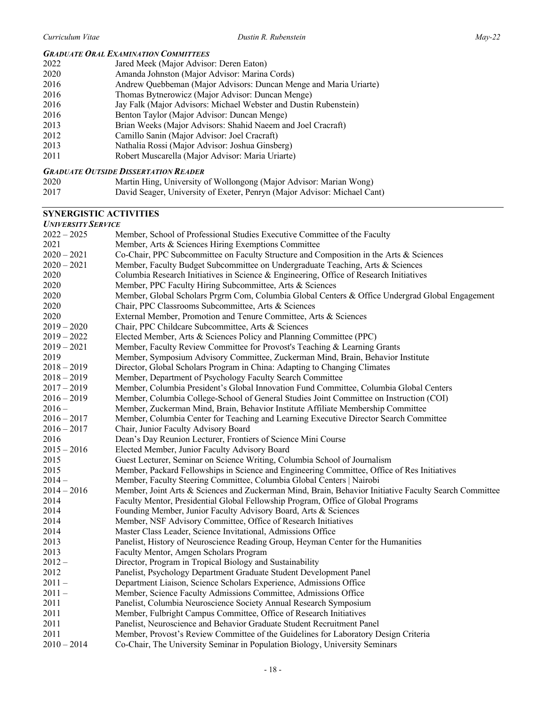# *GRADUATE ORAL EXAMINATION COMMITTEES*

| 2022 | Jared Meek (Major Advisor: Deren Eaton)                           |
|------|-------------------------------------------------------------------|
| 2020 | Amanda Johnston (Major Advisor: Marina Cords)                     |
| 2016 | Andrew Quebbeman (Major Advisors: Duncan Menge and Maria Uriarte) |
| 2016 | Thomas Bytnerowicz (Major Advisor: Duncan Menge)                  |
| 2016 | Jay Falk (Major Advisors: Michael Webster and Dustin Rubenstein)  |
| 2016 | Benton Taylor (Major Advisor: Duncan Menge)                       |
| 2013 | Brian Weeks (Major Advisors: Shahid Naeem and Joel Cracraft)      |
| 2012 | Camillo Sanin (Major Advisor: Joel Cracraft)                      |
| 2013 | Nathalia Rossi (Major Advisor: Joshua Ginsberg)                   |
| 2011 | Robert Muscarella (Major Advisor: Maria Uriarte)                  |
|      |                                                                   |

## *GRADUATE OUTSIDE DISSERTATION READER*

| 2020 | Martin Hing, University of Wollongong (Major Advisor: Marian Wong)       |
|------|--------------------------------------------------------------------------|
| 2017 | David Seager, University of Exeter, Penryn (Major Advisor: Michael Cant) |

# **SYNERGISTIC ACTIVITIES**

#### *UNIVERSITY SERVICE*

| <i>UNIVERSITI DERVICE</i> |                                                                                                       |
|---------------------------|-------------------------------------------------------------------------------------------------------|
| $2022 - 2025$             | Member, School of Professional Studies Executive Committee of the Faculty                             |
| 2021                      | Member, Arts & Sciences Hiring Exemptions Committee                                                   |
| $2020 - 2021$             | Co-Chair, PPC Subcommittee on Faculty Structure and Composition in the Arts & Sciences                |
| $2020 - 2021$             | Member, Faculty Budget Subcommittee on Undergraduate Teaching, Arts & Sciences                        |
| 2020                      | Columbia Research Initiatives in Science & Engineering, Office of Research Initiatives                |
| 2020                      | Member, PPC Faculty Hiring Subcommittee, Arts & Sciences                                              |
| 2020                      | Member, Global Scholars Prgrm Com, Columbia Global Centers & Office Undergrad Global Engagement       |
| 2020                      | Chair, PPC Classrooms Subcommittee, Arts & Sciences                                                   |
| 2020                      | External Member, Promotion and Tenure Committee, Arts & Sciences                                      |
| $2019 - 2020$             | Chair, PPC Childcare Subcommittee, Arts & Sciences                                                    |
| $2019 - 2022$             | Elected Member, Arts & Sciences Policy and Planning Committee (PPC)                                   |
| $2019 - 2021$             | Member, Faculty Review Committee for Provost's Teaching & Learning Grants                             |
| 2019                      | Member, Symposium Advisory Committee, Zuckerman Mind, Brain, Behavior Institute                       |
| $2018 - 2019$             | Director, Global Scholars Program in China: Adapting to Changing Climates                             |
| $2018 - 2019$             | Member, Department of Psychology Faculty Search Committee                                             |
| $2017 - 2019$             | Member, Columbia President's Global Innovation Fund Committee, Columbia Global Centers                |
| $2016 - 2019$             | Member, Columbia College-School of General Studies Joint Committee on Instruction (COI)               |
| $2016 -$                  | Member, Zuckerman Mind, Brain, Behavior Institute Affiliate Membership Committee                      |
| $2016 - 2017$             | Member, Columbia Center for Teaching and Learning Executive Director Search Committee                 |
| $2016 - 2017$             | Chair, Junior Faculty Advisory Board                                                                  |
| 2016                      | Dean's Day Reunion Lecturer, Frontiers of Science Mini Course                                         |
| $2015 - 2016$             | Elected Member, Junior Faculty Advisory Board                                                         |
| 2015                      | Guest Lecturer, Seminar on Science Writing, Columbia School of Journalism                             |
| 2015                      | Member, Packard Fellowships in Science and Engineering Committee, Office of Res Initiatives           |
| $2014-$                   | Member, Faculty Steering Committee, Columbia Global Centers   Nairobi                                 |
| $2014 - 2016$             | Member, Joint Arts & Sciences and Zuckerman Mind, Brain, Behavior Initiative Faculty Search Committee |
| 2014                      | Faculty Mentor, Presidential Global Fellowship Program, Office of Global Programs                     |
| 2014                      | Founding Member, Junior Faculty Advisory Board, Arts & Sciences                                       |
| 2014                      | Member, NSF Advisory Committee, Office of Research Initiatives                                        |
| 2014                      | Master Class Leader, Science Invitational, Admissions Office                                          |
| 2013                      | Panelist, History of Neuroscience Reading Group, Heyman Center for the Humanities                     |
| 2013                      | Faculty Mentor, Amgen Scholars Program                                                                |
| $2012 -$                  | Director, Program in Tropical Biology and Sustainability                                              |
| 2012                      | Panelist, Psychology Department Graduate Student Development Panel                                    |
| $2011 -$                  | Department Liaison, Science Scholars Experience, Admissions Office                                    |
| $2011 -$                  | Member, Science Faculty Admissions Committee, Admissions Office                                       |
| 2011                      | Panelist, Columbia Neuroscience Society Annual Research Symposium                                     |
| 2011                      | Member, Fulbright Campus Committee, Office of Research Initiatives                                    |
| 2011                      | Panelist, Neuroscience and Behavior Graduate Student Recruitment Panel                                |
| 2011                      | Member, Provost's Review Committee of the Guidelines for Laboratory Design Criteria                   |
| $2010 - 2014$             | Co-Chair, The University Seminar in Population Biology, University Seminars                           |